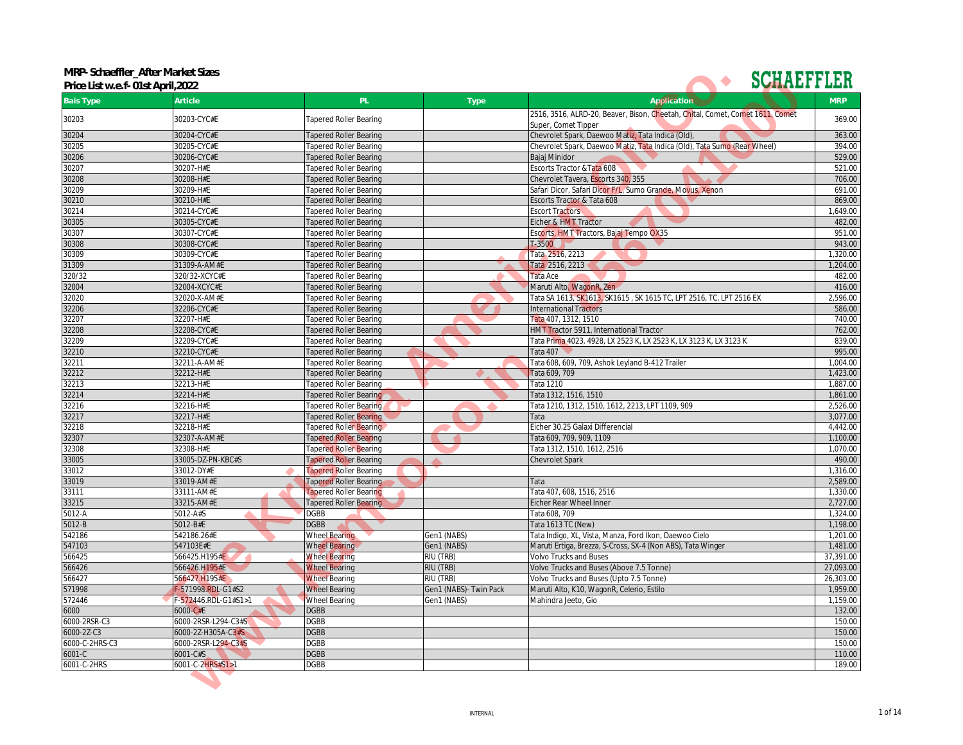**MRP- Schaeffler\_After Market Sizes Price List w.e.f- 01st April,2022**



| Price List w.e.f- 01st April, 2022 |                      |                               |                        |                                                                                                      |            |
|------------------------------------|----------------------|-------------------------------|------------------------|------------------------------------------------------------------------------------------------------|------------|
| <b>Bais Type</b>                   | Article              | PL                            | Type                   | Application                                                                                          | <b>MRP</b> |
| 30203                              | 30203-CYC#E          | <b>Tapered Roller Bearing</b> |                        | 2516, 3516, ALRD-20, Beaver, Bison, Cheetah, Chital, Comet, Comet 1611, Comet<br>Super, Comet Tipper | 369.00     |
| 30204                              | 30204-CYC#E          | <b>Tapered Roller Bearing</b> |                        | Chevrolet Spark, Daewoo Matiz, Tata Indica (Old),                                                    | 363.00     |
| 30205                              | 30205-CYC#E          | <b>Tapered Roller Bearing</b> |                        | Chevrolet Spark, Daewoo Matiz, Tata Indica (Old), Tata Sumo (Rear Wheel)                             | 394.00     |
| 30206                              | 30206-CYC#E          | <b>Tapered Roller Bearing</b> |                        | Bajaj Minidor                                                                                        | 529.00     |
| 30207                              | 30207-H#E            | <b>Tapered Roller Bearing</b> |                        | Escorts Tractor & Tata 608                                                                           | 521.00     |
| 30208                              | 30208-H#E            | <b>Tapered Roller Bearing</b> |                        | Chevrolet Tavera, Escorts 340, 355                                                                   | 706.00     |
| 30209                              | 30209-H#E            | <b>Tapered Roller Bearing</b> |                        | Safari Dicor, Safari Dicor F/L, Sumo Grande, Movus, Xenon                                            | 691.00     |
| 30210                              | 30210-H#E            | <b>Tapered Roller Bearing</b> |                        | Escorts Tractor & Tata 608                                                                           | 869.00     |
| 30214                              | 30214-CYC#E          | <b>Tapered Roller Bearing</b> |                        | <b>Escort Tractors</b>                                                                               | 1,649.00   |
| 30305                              | 30305-CYC#E          | Tapered Roller Bearing        |                        | Eicher & HMT Tractor                                                                                 | 482.00     |
| 30307                              | 30307-CYC#E          | <b>Tapered Roller Bearing</b> |                        | Escorts, HMT Tractors, Bajaj Tempo OX35                                                              | 951.00     |
| 30308                              | 30308-CYC#E          | <b>Tapered Roller Bearing</b> |                        | $T - 3500$                                                                                           | 943.00     |
| 30309                              | 30309-CYC#E          | <b>Tapered Roller Bearing</b> |                        | Tata 2516, 2213                                                                                      | 1,320.00   |
| 31309                              | 31309-A-AM#E         | <b>Tapered Roller Bearing</b> |                        | Tata 2516, 2213                                                                                      | 1,204.00   |
| 320/32                             | 320/32-XCYC#E        | <b>Tapered Roller Bearing</b> |                        | Tata Ace                                                                                             | 482.00     |
| 32004                              | 32004-XCYC#E         | <b>Tapered Roller Bearing</b> |                        | Maruti Alto, WagonR, Zen                                                                             | 416.00     |
| 32020                              | 32020-X-AM#E         | <b>Tapered Roller Bearing</b> |                        | Tata SA 1613, SK161 <mark>3,</mark> SK1615 , SK 1615 TC, LPT 2516, TC, LPT 2516 EX                   | 2,596.00   |
| 32206                              | 32206-CYC#E          | <b>Tapered Roller Bearing</b> |                        | International Tractors                                                                               | 586.00     |
| 32207                              | 32207-H#E            | <b>Tapered Roller Bearing</b> |                        | Tata 407, 1312, 1510                                                                                 | 740.00     |
| 32208                              | 32208-CYC#E          | <b>Tapered Roller Bearing</b> |                        | HMT Tractor 5911, International Tractor                                                              | 762.00     |
| 32209                              | 32209-CYC#E          | <b>Tapered Roller Bearing</b> |                        | Tata Prima 4023, 4928, LX 2523 K, LX 2523 K, LX 3123 K, LX 3123 K                                    | 839.00     |
|                                    |                      |                               |                        | Tata 407                                                                                             | 995.00     |
| 32210                              | 32210-CYC#E          | <b>Tapered Roller Bearing</b> |                        |                                                                                                      | 1.004.00   |
| 32211                              | 32211-A-AM#E         | Tapered Roller Bearing        |                        | Tata 608, 609, 709, Ashok Leyland B-412 Trailer                                                      |            |
| 32212                              | 32212-H#E            | <b>Tapered Roller Bearing</b> |                        | Tata 609, 709                                                                                        | 1,423.00   |
| 32213                              | 32213-H#E            | <b>Tapered Roller Bearing</b> |                        | Tata 1210                                                                                            | 1,887.00   |
| 32214                              | 32214-H#E            | Tapered Roller Bearing        |                        | Tata 1312, 1516, 1510                                                                                | 1,861.00   |
| 32216                              | 32216-H#E            | <b>Tapered Roller Bearing</b> |                        | Tata 1210, 1312, 1510, 1612, 2213, LPT 1109, 909                                                     | 2,526.00   |
| 32217                              | 32217-H#E            | <b>Tapered Roller Bearing</b> |                        | Tata                                                                                                 | 3,077.00   |
| 32218                              | 32218-H#E            | <b>Tapered Roller Bearing</b> |                        | Eicher 30.25 Galaxi Differencial                                                                     | 4,442.00   |
| 32307                              | 32307-A-AM#E         | <b>Tapered Roller Bearing</b> |                        | Tata 609, 709, 909, 1109                                                                             | 1,100.00   |
| 32308                              | 32308-H#E            | <b>Tapered Roller Bearing</b> |                        | Tata 1312, 1510, 1612, 2516                                                                          | 1,070.00   |
| 33005                              | 33005-DZ-PN-KBC#S    | <b>Tapered Roller Bearing</b> |                        | <b>Chevrolet Spark</b>                                                                               | 490.00     |
| 33012                              | 33012-DY#E           | <b>Tapered Roller Bearing</b> |                        |                                                                                                      | 1,316.00   |
| 33019                              | 33019-AM#E           | <b>Tapered Roller Bearing</b> |                        | Tata                                                                                                 | 2,589.00   |
| 33111                              | 33111-AM#E           | <b>Tapered Roller Bearing</b> |                        | Tata 407, 608, 1516, 2516                                                                            | 1,330.00   |
| 33215                              | 33215-AM#E           | Tapered Roller Bearing        |                        | Eicher Rear Wheel Inner                                                                              | 2,727.00   |
| 5012-A                             | 5012-A#S             | <b>DGBB</b>                   |                        | Tata 608, 709                                                                                        | 1,324.00   |
| 5012-B                             | 5012-B#E             | <b>DGBB</b>                   |                        | Tata 1613 TC (New)                                                                                   | 1,198.00   |
| 542186                             | 542186.26#E          | <b>Wheel Bearing</b>          | Gen1 (NABS)            | Tata Indigo, XL, Vista, Manza, Ford Ikon, Daewoo Cielo                                               | 1,201.00   |
| 547103                             | 547103E#E            | <b>Wheel Bearing</b>          | Gen1 (NABS)            | Maruti Ertiga, Brezza, S-Cross, SX-4 (Non ABS), Tata Winger                                          | 1,481.00   |
| 566425                             | 566425.H195#E        | <b>Wheel Bearing</b>          | RIU (TRB)              | <b>Volvo Trucks and Buses</b>                                                                        | 37,391.00  |
| 566426                             | 566426.H195#E        | <b>Wheel Bearing</b>          | RIU (TRB)              | Volvo Trucks and Buses (Above 7.5 Tonne)                                                             | 27,093.00  |
| 566427                             | 566427.H195#E        | <b>Wheel Bearing</b>          | RIU (TRB)              | Volvo Trucks and Buses (Upto 7.5 Tonne)                                                              | 26,303.00  |
| 571998                             | F-571998.RDL-G1#S2   | <b>Wheel Bearing</b>          | Gen1 (NABS)- Twin Pack | Maruti Alto, K10, WagonR, Celerio, Estilo                                                            | 1,959.00   |
| 572446                             | F-572446.RDL-G1#S1>1 | <b>Wheel Bearing</b>          | Gen1 (NABS)            | Mahindra Jeeto, Gio                                                                                  | 1,159.00   |
| 6000                               | 6000-C#E             | <b>DGBB</b>                   |                        |                                                                                                      | 132.00     |
| 6000-2RSR-C3                       | 6000-2RSR-L294-C3#S  | <b>DGBB</b>                   |                        |                                                                                                      | 150.00     |
| 6000-2Z-C3                         | 6000-2Z-H305A-C3#S   | <b>DGBB</b>                   |                        |                                                                                                      | 150.00     |
|                                    |                      |                               |                        |                                                                                                      |            |
| 6000-C-2HRS-C3                     | 6000-2RSR-L294-C3#S  | DGBB                          |                        |                                                                                                      | 150.00     |
| 6001-C                             | 6001-C#S             | <b>DGBB</b>                   |                        |                                                                                                      | 110.00     |
| 6001-C-2HRS                        | 6001-C-2HRS#S1>1     | DGBB                          |                        |                                                                                                      | 189.00     |

 $\frac{1}{1}$  of 14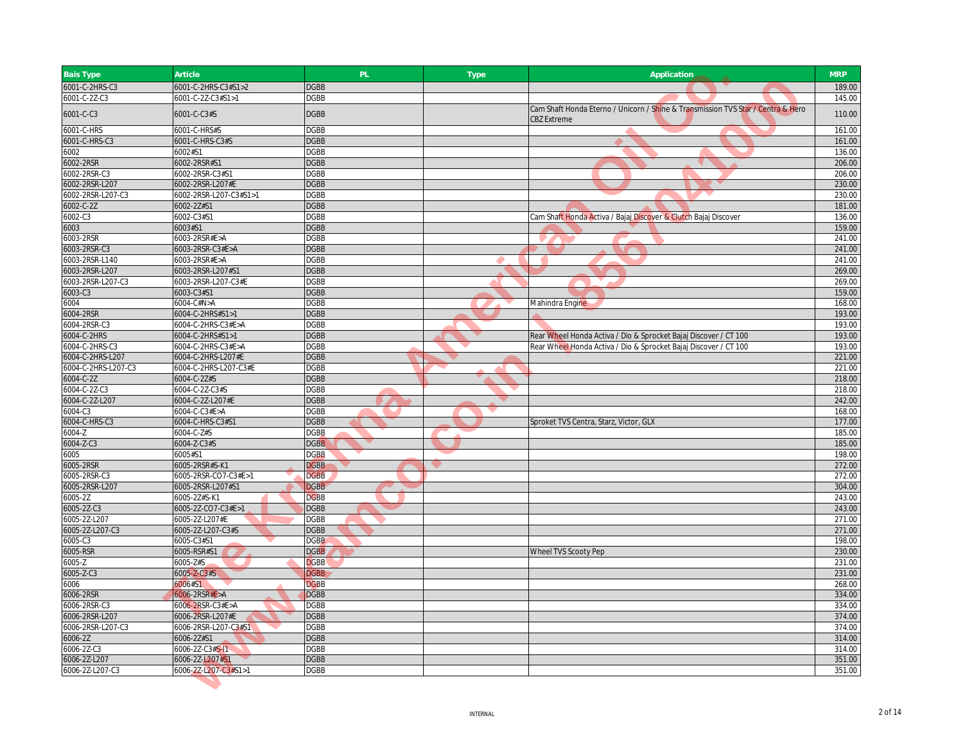| <b>Bais Type</b>    | Article                | PL.         | <b>Type</b> | Application                                                                                            | <b>MRP</b> |
|---------------------|------------------------|-------------|-------------|--------------------------------------------------------------------------------------------------------|------------|
| 6001-C-2HRS-C3      | 6001-C-2HRS-C3#S1>2    | <b>DGBB</b> |             | <b>TANK</b>                                                                                            | 189.00     |
| 6001-C-2Z-C3        | 6001-C-2Z-C3#S1>1      | <b>DGBB</b> |             |                                                                                                        | 145.00     |
| 6001-C-C3           | 6001-C-C3#S            | <b>DGBB</b> |             | Cam Shaft Honda Eterno / Unicorn / Shine & Transmission TVS Star / Centra & Hero<br><b>CBZ Extreme</b> | 110.00     |
| 6001-C-HRS          | 6001-C-HRS#S           | <b>DGBB</b> |             | ▲                                                                                                      | 161.00     |
| 6001-C-HRS-C3       | 6001-C-HRS-C3#S        | <b>DGBB</b> |             |                                                                                                        | 161.00     |
| 6002                | 6002#S1                | <b>DGBB</b> |             |                                                                                                        | 136.00     |
| 6002-2RSR           | 6002-2RSR#S1           | <b>DGBB</b> |             |                                                                                                        | 206.00     |
| 6002-2RSR-C3        | 6002-2RSR-C3#S1        | <b>DGBB</b> |             |                                                                                                        | 206.00     |
| 6002-2RSR-L207      | 6002-2RSR-L207#E       | <b>DGBB</b> |             |                                                                                                        | 230.00     |
| 6002-2RSR-L207-C3   | 6002-2RSR-L207-C3#S1>1 | <b>DGBB</b> |             |                                                                                                        | 230.00     |
| 6002-C-2Z           | 6002-2Z#S1             | <b>DGBB</b> |             |                                                                                                        | 181.00     |
| 6002-C3             | 6002-C3#S1             | <b>DGBB</b> |             | Cam Shaft Honda Activa / Bajaj Discover & Clutch Bajaj Discover                                        | 136.00     |
| 6003                | 6003#S1                | <b>DGBB</b> |             |                                                                                                        | 159.00     |
| 6003-2RSR           | 6003-2RSR#E>A          | <b>DGBB</b> |             |                                                                                                        | 241.00     |
| 6003-2RSR-C3        | 6003-2RSR-C3#E>A       | <b>DGBB</b> |             |                                                                                                        | 241.00     |
| 6003-2RSR-L140      | 6003-2RSR#E>A          | <b>DGBB</b> |             |                                                                                                        | 241.00     |
| 6003-2RSR-L207      | 6003-2RSR-L207#S1      | <b>DGBB</b> |             |                                                                                                        | 269.00     |
| 6003-2RSR-L207-C3   | 6003-2RSR-L207-C3#E    | <b>DGBB</b> |             |                                                                                                        | 269.00     |
| 6003-C3             | 6003-C3#S1             | <b>DGBB</b> |             |                                                                                                        | 159.00     |
| 6004                | 6004-C#N>A             | <b>DGBB</b> |             | Mahindra Engine                                                                                        | 168.00     |
| 6004-2RSR           | 6004-C-2HRS#S1>1       | <b>DGBB</b> |             |                                                                                                        | 193.00     |
| 6004-2RSR-C3        | 6004-C-2HRS-C3#E>A     | <b>DGBB</b> |             |                                                                                                        | 193.00     |
| 6004-C-2HRS         | 6004-C-2HRS#S1>1       | <b>DGBB</b> |             | Rear Wheel Honda Activa / Dio & Sprocket Bajaj Discover / CT 100                                       | 193.00     |
| 6004-C-2HRS-C3      | 6004-C-2HRS-C3#E>A     | <b>DGBB</b> |             | Rear Wheel Honda Activa / Dio & Sprocket Bajaj Discover / CT 100                                       | 193.00     |
| 6004-C-2HRS-L207    | 6004-C-2HRS-L207#E     | <b>DGBB</b> |             |                                                                                                        | 221.00     |
| 6004-C-2HRS-L207-C3 | 6004-C-2HRS-L207-C3#E  | <b>DGBB</b> |             |                                                                                                        | 221.00     |
| 6004-C-2Z           | 6004-C-2Z#S            | <b>DGBB</b> |             |                                                                                                        | 218.00     |
| 6004-C-2Z-C3        | 6004-C-2Z-C3#S         | <b>DGBB</b> |             |                                                                                                        | 218.00     |
| 6004-C-2Z-L207      | 6004-C-2Z-L207#E       | <b>DGBB</b> |             |                                                                                                        | 242.00     |
| 6004-C3             | 6004-C-C3#E>A          | <b>DGBB</b> |             |                                                                                                        | 168.00     |
| 6004-C-HRS-C3       | 6004-C-HRS-C3#S1       | <b>DGBB</b> |             | Sproket TVS Centra, Starz, Victor, GLX                                                                 | 177.00     |
| 6004-Z              | 6004-C-Z#S             | <b>DGBB</b> |             |                                                                                                        | 185.00     |
| 6004-Z-C3           | 6004-Z-C3#S            | <b>DGBB</b> |             |                                                                                                        | 185.00     |
| 6005                | 6005#S1                | <b>DGBB</b> |             |                                                                                                        | 198.00     |
| 6005-2RSR           | 6005-2RSR#S-K1         | <b>DGBB</b> |             |                                                                                                        | 272.00     |
| 6005-2RSR-C3        | 6005-2RSR-CO7-C3#E>1   | <b>DGBB</b> |             |                                                                                                        | 272.00     |
| 6005-2RSR-L207      | 6005-2RSR-L207#S1      | <b>DGBB</b> |             |                                                                                                        | 304.00     |
| 6005-2Z             | 6005-2Z#S-K1           | <b>DGBB</b> |             |                                                                                                        | 243.00     |
| 6005-2Z-C3          | 6005-2Z-CO7-C3#E>1     | <b>DGBB</b> |             |                                                                                                        | 243.00     |
| 6005-2Z-L207        | 6005-2Z-L207#E         | <b>DGBB</b> |             |                                                                                                        | 271.00     |
| 6005-2Z-L207-C3     | 6005-2Z-L207-C3#S      | <b>DGBB</b> |             |                                                                                                        | 271.00     |
| 6005-C3             | 6005-C3#S1             | <b>DGBB</b> |             |                                                                                                        | 198.00     |
| 6005-RSR            | 6005-RSR#S1            | <b>DGBB</b> |             | Wheel TVS Scooty Pep                                                                                   | 230.00     |
| 6005-Z              | 6005-Z#S               | <b>DGBB</b> |             |                                                                                                        | 231.00     |
| 6005-Z-C3           | 6005-Z-C3#S            | <b>DGBB</b> |             |                                                                                                        | 231.00     |
| 6006                | 6006#S1                | <b>DGBB</b> |             |                                                                                                        | 268.00     |
| 6006-2RSR           | $6006 - 2RSR#E > A$    | <b>DGBB</b> |             |                                                                                                        | 334.00     |
| 6006-2RSR-C3        | 6006-2RSR-C3#E>A       | <b>DGBB</b> |             |                                                                                                        | 334.00     |
| 6006-2RSR-L207      | 6006-2RSR-L207#E       | <b>DGBB</b> |             |                                                                                                        | 374.00     |
| 6006-2RSR-L207-C3   | 6006-2RSR-L207-C3#S1   | <b>DGBB</b> |             |                                                                                                        | 374.00     |
| 6006-2Z             | 6006-2Z#S1             | <b>DGBB</b> |             |                                                                                                        | 314.00     |
| 6006-2Z-C3          | 6006-2Z-C3#S-I1        | <b>DGBB</b> |             |                                                                                                        | 314.00     |
| 6006-2Z-L207        | 6006-2Z-L207#S1        | <b>DGBB</b> |             |                                                                                                        | 351.00     |
| 6006-2Z-L207-C3     | 6006-2Z-L207-C3#S1>1   | <b>DGBB</b> |             |                                                                                                        | 351.00     |
|                     |                        |             |             |                                                                                                        |            |
|                     |                        |             |             |                                                                                                        |            |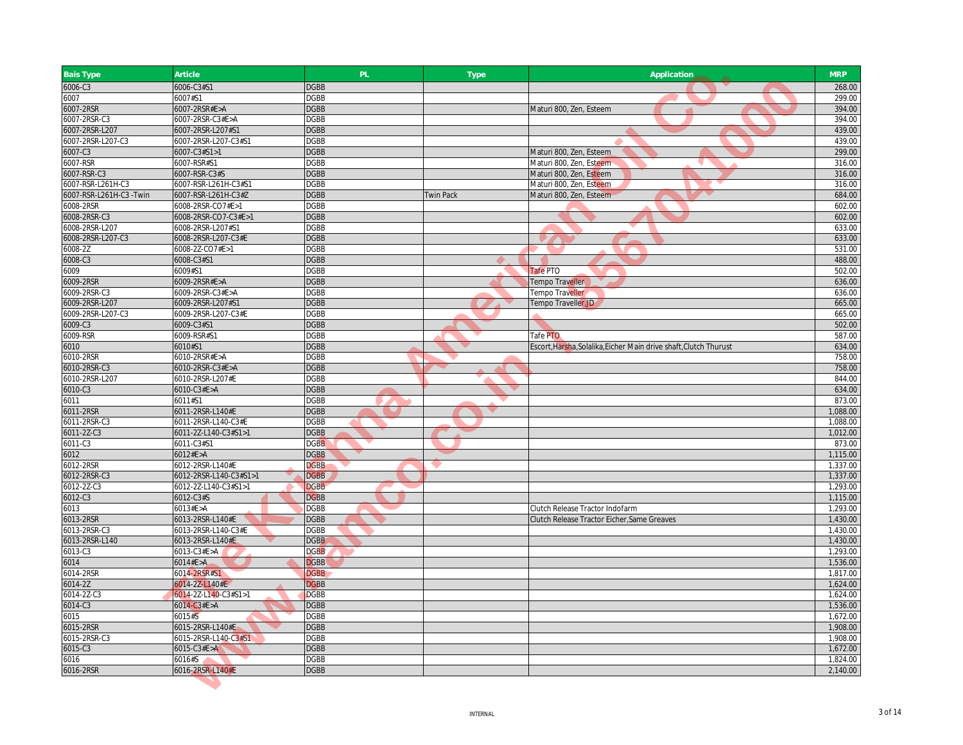| <b>Bais Type</b>          | Article                                  | PL.                        | Type             | Application                                                       | <b>MRP</b>           |
|---------------------------|------------------------------------------|----------------------------|------------------|-------------------------------------------------------------------|----------------------|
| 6006-C3                   | 6006-C3#S1                               | <b>DGBB</b>                |                  |                                                                   | 268.00               |
| 6007                      | 6007#S1                                  | <b>DGBB</b>                |                  |                                                                   | 299.00               |
| 6007-2RSR                 | 6007-2RSR#E>A                            | <b>DGBB</b>                |                  | Maturi 800, Zen, Esteem                                           | 394.00               |
| 6007-2RSR-C3              | 6007-2RSR-C3#E>A                         | <b>DGBB</b>                |                  |                                                                   | 394.00               |
| 6007-2RSR-L207            | 6007-2RSR-L207#S1                        | <b>DGBB</b>                |                  |                                                                   | 439.00               |
| 6007-2RSR-L207-C3         | 6007-2RSR-L207-C3#S1                     | <b>DGBB</b>                |                  |                                                                   | 439.00               |
| 6007-C3                   | 6007-C3#S1>1                             | <b>DGBB</b>                |                  | Maturi 800, Zen, Esteem                                           | 299.00               |
| 6007-RSR                  | 6007-RSR#S1                              | <b>DGBB</b>                |                  | Maturi 800, Zen, Esteem<br>- 1                                    | 316.00               |
| 6007-RSR-C3               | 6007-RSR-C3#S                            | <b>DGBB</b>                |                  | Maturi 800, Zen, Esteem                                           | 316.00               |
| 6007-RSR-L261H-C3         | 6007-RSR-L261H-C3#S1                     | <b>DGBB</b>                |                  | Maturi 800, Zen, Esteem                                           | 316.00               |
| 6007-RSR-L261H-C3 -Twin   | 6007-RSR-L261H-C3#Z                      | <b>DGBB</b>                | <b>Twin Pack</b> | Maturi 800, Zen, Esteem                                           | 684.00               |
| 6008-2RSR                 | 6008-2RSR-CO7#E>1                        | <b>DGBB</b>                |                  |                                                                   | 602.00               |
| 6008-2RSR-C3              | 6008-2RSR-CO7-C3#E>1                     | <b>DGBB</b>                |                  |                                                                   | 602.00               |
| 6008-2RSR-L207            | 6008-2RSR-L207#S1                        | <b>DGBB</b>                |                  |                                                                   | 633.00               |
| 6008-2RSR-L207-C3         | 6008-2RSR-L207-C3#E                      | <b>DGBB</b>                |                  |                                                                   | 633.00               |
| 6008-2Z                   | 6008-2Z-CO7#E>1                          | <b>DGBB</b>                |                  |                                                                   | 531.00               |
| 6008-C3                   | 6008-C3#S1                               | <b>DGBB</b>                |                  |                                                                   | 488.00               |
| 6009                      | 6009#S1                                  | <b>DGBB</b>                |                  | <b>Tafe PTO</b>                                                   | 502.00               |
| 6009-2RSR                 | 6009-2RSR#E>A                            | <b>DGBB</b>                |                  | Tempo Traveller                                                   | 636.00               |
| 6009-2RSR-C3              | 6009-2RSR-C3#E>A                         | <b>DGBB</b>                |                  | Tempo Traveller                                                   | 636.00               |
| 6009-2RSR-L207            | 6009-2RSR-L207#S1                        | <b>DGBB</b>                |                  | Tempo Traveller, JD                                               | 665.00               |
| 6009-2RSR-L207-C3         | 6009-2RSR-L207-C3#E                      | <b>DGBB</b>                |                  |                                                                   | 665.00               |
| 6009-C3                   | 6009-C3#S1                               | <b>DGBB</b>                |                  |                                                                   | 502.00               |
| 6009-RSR                  | 6009-RSR#S1                              | <b>DGBB</b>                |                  | Tafe PTO                                                          | 587.00               |
| 6010                      | 6010#S1                                  | <b>DGBB</b>                |                  | Escort, Harsha, Solalika, Eicher Main drive shaft, Clutch Thurust | 634.00               |
| 6010-2RSR                 | 6010-2RSR#E>A                            | <b>DGBB</b>                |                  |                                                                   | 758.00               |
| 6010-2RSR-C3              | 6010-2RSR-C3#E>A                         | <b>DGBB</b>                |                  |                                                                   | 758.00               |
| 6010-2RSR-L207            | 6010-2RSR-L207#E                         | <b>DGBB</b>                |                  |                                                                   | 844.00               |
| 6010-C3                   | 6010-C3#E>A                              | <b>DGBB</b>                |                  |                                                                   | 634.00               |
| 6011                      | 6011#S1                                  | <b>DGBB</b>                |                  |                                                                   | 873.00               |
| 6011-2RSR                 | 6011-2RSR-L140#E                         | <b>DGBB</b>                |                  |                                                                   | 1,088.00             |
| 6011-2RSR-C3              | 6011-2RSR-L140-C3#E                      | <b>DGBB</b>                |                  |                                                                   | 1,088.00             |
| 6011-2Z-C3                | 6011-2Z-L140-C3#S1>1                     | <b>DGBB</b>                |                  |                                                                   | 1,012.00             |
| 6011-C3                   | 6011-C3#S1                               | <b>DGBB</b>                |                  |                                                                   | 873.00               |
| 6012                      | 6012#E>A                                 | <b>DGBB</b>                |                  |                                                                   | 1,115.00             |
| 6012-2RSR                 | 6012-2RSR-L140#E                         | <b>DGBB</b>                |                  |                                                                   | 1,337.00             |
| 6012-2RSR-C3              | 6012-2RSR-L140-C3#S1>1                   | <b>DGBB</b>                |                  |                                                                   | 1,337.00             |
| 6012-2Z-C3                | 6012-2Z-L140-C3#S1>1                     | <b>DGBB</b>                |                  |                                                                   | 1,293.00             |
| 6012-C3                   | 6012-C3#S                                | <b>DGBB</b>                |                  |                                                                   | 1,115.00             |
| 6013                      | 6013#E>A                                 | <b>DGBB</b>                |                  | Clutch Release Tractor Indofarm                                   | 1,293.00             |
| 6013-2RSR                 | 6013-2RSR-L140#E                         | <b>DGBB</b>                |                  | Clutch Release Tractor Eicher, Same Greaves                       | 1,430.00             |
| 6013-2RSR-C3              | 6013-2RSR-L140-C3#E                      | <b>DGBB</b>                |                  |                                                                   | 1,430.00             |
| 6013-2RSR-L140            | 6013-2RSR-L140#E                         | <b>DGBB</b>                |                  |                                                                   | 1,430.00             |
| $6013 - C3$               | 6013-C3#E>A                              | <b>DGBB</b>                |                  |                                                                   | 1,293.00             |
| 6014                      | 6014#E > A                               | <b>DGBB</b>                |                  |                                                                   | 1,536.00             |
| 6014-2RSR                 | 6014-2RSR#S1                             | <b>DGBB</b>                |                  |                                                                   | 1,817.00             |
| 6014-2Z                   | 6014-2Z-L140#E                           | <b>DGBB</b>                |                  |                                                                   | 1,624.00             |
| 6014-2Z-C3                | 6014-2Z-L140-C3#S1>1                     | <b>DGBB</b>                |                  |                                                                   | 1,624.00             |
| 6014-C3                   | 6014-C3#E>A                              | <b>DGBB</b>                |                  |                                                                   | 1,536.00             |
| 6015                      | 6015#S                                   | <b>DGBB</b>                |                  |                                                                   | 1,672.00             |
| 6015-2RSR<br>6015-2RSR-C3 | 6015-2RSR-L140#E<br>6015-2RSR-L140-C3#S1 | <b>DGBB</b><br><b>DGBB</b> |                  |                                                                   | 1,908.00<br>1,908.00 |
| 6015-C3                   | 6015-C3#E>A                              | <b>DGBB</b>                |                  |                                                                   | 1,672.00             |
|                           |                                          |                            |                  |                                                                   |                      |
| 6016                      | 6016#S<br>6016-2RSR-L140#E               | <b>DGBB</b><br><b>DGBB</b> |                  |                                                                   | 1,824.00<br>2,140.00 |
| 6016-2RSR                 |                                          |                            |                  |                                                                   |                      |
|                           |                                          |                            |                  |                                                                   |                      |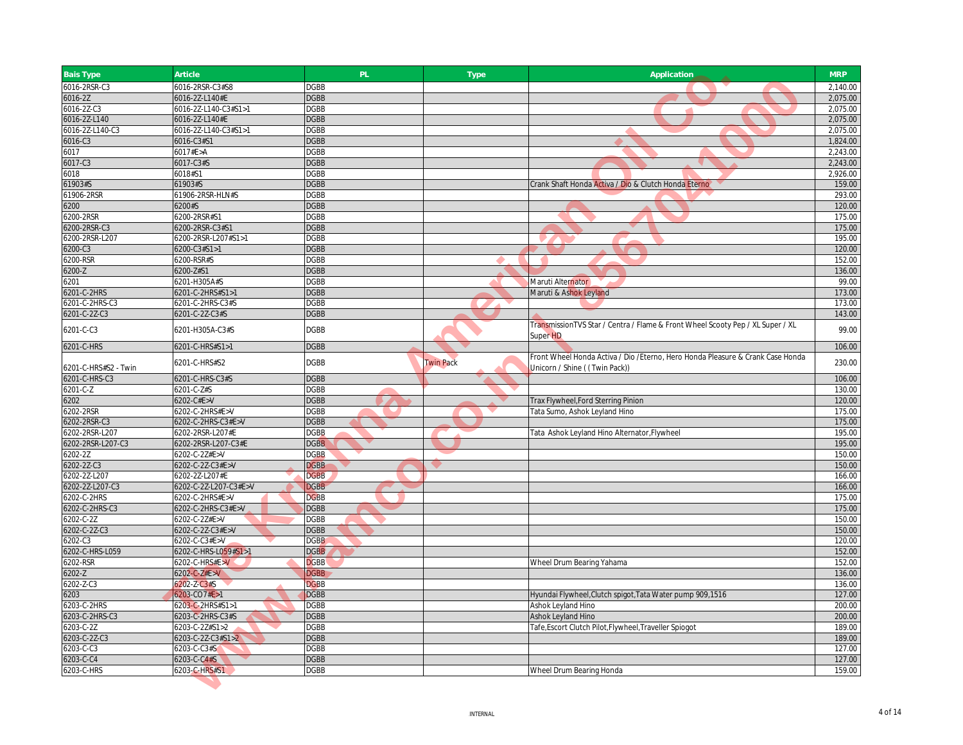| <b>Bais Type</b>              | Article                              | PL                         | <b>Type</b>      | Application                                                                                                     | <b>MRP</b>       |
|-------------------------------|--------------------------------------|----------------------------|------------------|-----------------------------------------------------------------------------------------------------------------|------------------|
| 6016-2RSR-C3                  | 6016-2RSR-C3#S8                      | <b>DGBB</b>                |                  |                                                                                                                 | 2,140.00         |
| 6016-2Z                       | 6016-2Z-L140#E                       | <b>DGBB</b>                |                  |                                                                                                                 | 2,075.00         |
| 6016-2Z-C3                    | 6016-2Z-L140-C3#S1>1                 | <b>DGBB</b>                |                  |                                                                                                                 | 2,075.00         |
| 6016-2Z-L140                  | 6016-2Z-L140#E                       | <b>DGBB</b>                |                  |                                                                                                                 | 2,075.00         |
| 6016-2Z-L140-C3               | 6016-2Z-L140-C3#S1>1                 | <b>DGBB</b>                |                  |                                                                                                                 | 2,075.00         |
| 6016-C3                       | 6016-C3#S1                           | <b>DGBB</b>                |                  |                                                                                                                 | 1,824.00         |
| 6017                          | 6017#E>A                             | <b>DGBB</b>                |                  |                                                                                                                 | 2,243.00         |
| 6017-C3                       | 6017-C3#S                            | <b>DGBB</b>                |                  |                                                                                                                 | 2,243.00         |
| 6018                          | 6018#S1                              | <b>DGBB</b>                |                  |                                                                                                                 | 2,926.00         |
| 61903#S                       | 61903#S                              | <b>DGBB</b>                |                  | Crank Shaft Honda Activa / Dio & Clutch Honda Eterno                                                            | 159.00           |
| 61906-2RSR                    | 61906-2RSR-HLN#S                     | <b>DGBB</b>                |                  |                                                                                                                 | 293.00           |
| 6200                          | 6200#S                               | <b>DGBB</b>                |                  |                                                                                                                 | 120.00           |
| 6200-2RSR                     | 6200-2RSR#S1                         | <b>DGBB</b>                |                  |                                                                                                                 | 175.00           |
| 6200-2RSR-C3                  | 6200-2RSR-C3#S1                      | <b>DGBB</b>                |                  |                                                                                                                 | 175.00           |
| 6200-2RSR-L207                | 6200-2RSR-L207#S1>1                  | <b>DGBB</b>                |                  |                                                                                                                 | 195.00           |
| 6200-C3                       | 6200-C3#S1>1                         | <b>DGBB</b>                |                  |                                                                                                                 | 120.00           |
| 6200-RSR                      | 6200-RSR#S<br>6200-Z#S1              | <b>DGBB</b><br><b>DGBB</b> |                  |                                                                                                                 | 152.00<br>136.00 |
| 6200-Z<br>6201                | 6201-H305A#S                         | <b>DGBB</b>                |                  | Maruti Alternator                                                                                               | 99.00            |
| 6201-C-2HRS                   | 6201-C-2HRS#S1>1                     | <b>DGBB</b>                |                  | Maruti & Ashok Leyland                                                                                          | 173.00           |
| 6201-C-2HRS-C3                | 6201-C-2HRS-C3#S                     | <b>DGBB</b>                |                  |                                                                                                                 | 173.00           |
| 6201-C-2Z-C3                  | 6201-C-2Z-C3#S                       | <b>DGBB</b>                |                  |                                                                                                                 | 143.00           |
|                               |                                      |                            |                  | TransmissionTVS Star / Centra / Flame & Front Wheel Scooty Pep / XL Super / XL                                  |                  |
| 6201-C-C3                     | 6201-H305A-C3#S                      | <b>DGBB</b>                |                  | Super <sub>HD</sub>                                                                                             | 99.00            |
| 6201-C-HRS                    | 6201-C-HRS#S1>1                      | <b>DGBB</b>                |                  |                                                                                                                 | 106.00           |
| 6201-C-HRS#S2 - Twin          | 6201-C-HRS#S2                        | <b>DGBB</b>                | <b>Twin Pack</b> | Front Wheel Honda Activa / Dio /Eterno, Hero Honda Pleasure & Crank Case Honda<br>Unicorn / Shine ((Twin Pack)) | 230.00           |
| 6201-C-HRS-C3                 | 6201-C-HRS-C3#S                      | <b>DGBB</b>                |                  |                                                                                                                 | 106.00           |
| 6201-C-Z                      | 6201-C-Z#S                           | <b>DGBB</b>                |                  |                                                                                                                 | 130.00           |
| 6202                          | 6202-C#E>V                           | <b>DGBB</b>                |                  | Trax Flywheel, Ford Sterring Pinion                                                                             | 120.00           |
| 6202-2RSR                     | 6202-C-2HRS#E>V                      | <b>DGBB</b>                |                  | Tata Sumo, Ashok Leyland Hino                                                                                   | 175.00           |
| 6202-2RSR-C3                  | 6202-C-2HRS-C3#E>V                   | <b>DGBB</b>                |                  |                                                                                                                 | 175.00           |
| 6202-2RSR-L207                | 6202-2RSR-L207#E                     | <b>DGBB</b>                |                  | Tata Ashok Leyland Hino Alternator, Flywheel                                                                    | 195.00           |
| 6202-2RSR-L207-C3             | 6202-2RSR-L207-C3#E                  | <b>DGBB</b>                |                  |                                                                                                                 | 195.00           |
| 6202-2Z                       | 6202-C-2Z#E>V                        | <b>DGBB</b>                |                  |                                                                                                                 | 150.00           |
| 6202-2Z-C3                    | 6202-C-2Z-C3#E>V                     | <b>DGBB</b>                |                  |                                                                                                                 | 150.00           |
| 6202-2Z-L207                  | 6202-2Z-L207#E                       | <b>DGBB</b>                |                  |                                                                                                                 | 166.00           |
| 6202-2Z-L207-C3               | 6202-C-2Z-L207-C3#E>V                | <b>DGBB</b>                |                  |                                                                                                                 | 166.00           |
| 6202-C-2HRS                   | 6202-C-2HRS#E>V                      | <b>DGBB</b>                |                  |                                                                                                                 | 175.00           |
| 6202-C-2HRS-C3                | 6202-C-2HRS-C3#E>V                   | <b>DGBB</b>                |                  |                                                                                                                 | 175.00           |
| 6202-C-2Z                     | 6202-C-2Z#E>V                        | <b>DGBB</b>                |                  |                                                                                                                 | 150.00           |
| 6202-C-2Z-C3                  | 6202-C-2Z-C3#E>V                     | <b>DGBB</b>                |                  |                                                                                                                 | 150.00           |
| 6202-C3                       | 6202-C-C3#E>V                        | <b>DGBB</b>                |                  |                                                                                                                 | 120.00           |
| 6202-C-HRS-L059               | 6202-C-HRS-L059#S1>1                 | <b>DGBB</b>                |                  |                                                                                                                 | 152.00           |
| 6202-RSR                      | 6202-C-HRS#E>V                       | <b>DGBB</b><br><b>DGBB</b> |                  | Wheel Drum Bearing Yahama                                                                                       | 152.00<br>136.00 |
| 6202-Z                        | 6202-C-Z#E>V                         |                            |                  |                                                                                                                 |                  |
| 6202-Z-C3                     | 6202-Z-C3#S<br>6203-CO7#E>1          | <b>DGBB</b><br><b>DGBB</b> |                  |                                                                                                                 | 136.00           |
| 6203                          |                                      | <b>DGBB</b>                |                  | Hyundai Flywheel, Clutch spigot, Tata Water pump 909, 1516                                                      | 127.00<br>200.00 |
| 6203-C-2HRS<br>6203-C-2HRS-C3 | 6203-C-2HRS#S1>1<br>6203-C-2HRS-C3#S | <b>DGBB</b>                |                  | Ashok Leyland Hino<br>Ashok Leyland Hino                                                                        | 200.00           |
| 6203-C-2Z                     | 5203-C-2Z#S1>2                       | <b>DGBB</b>                |                  | Tafe, Escort Clutch Pilot, Flywheel, Traveller Spiogot                                                          | 189.00           |
| 6203-C-2Z-C3                  | 6203-C-2Z-C3#S1>2                    | <b>DGBB</b>                |                  |                                                                                                                 | 189.00           |
| 6203-C-C3                     | 6203-C-C3#S                          | <b>DGBB</b>                |                  |                                                                                                                 | 127.00           |
| 6203-C-C4                     | 6203-C-C4#S                          | <b>DGBB</b>                |                  |                                                                                                                 | 127.00           |
| 6203-C-HRS                    | 6203-C-HRS#S1                        | <b>DGBB</b>                |                  | Wheel Drum Bearing Honda                                                                                        | 159.00           |
|                               |                                      |                            |                  |                                                                                                                 |                  |
|                               |                                      |                            |                  |                                                                                                                 |                  |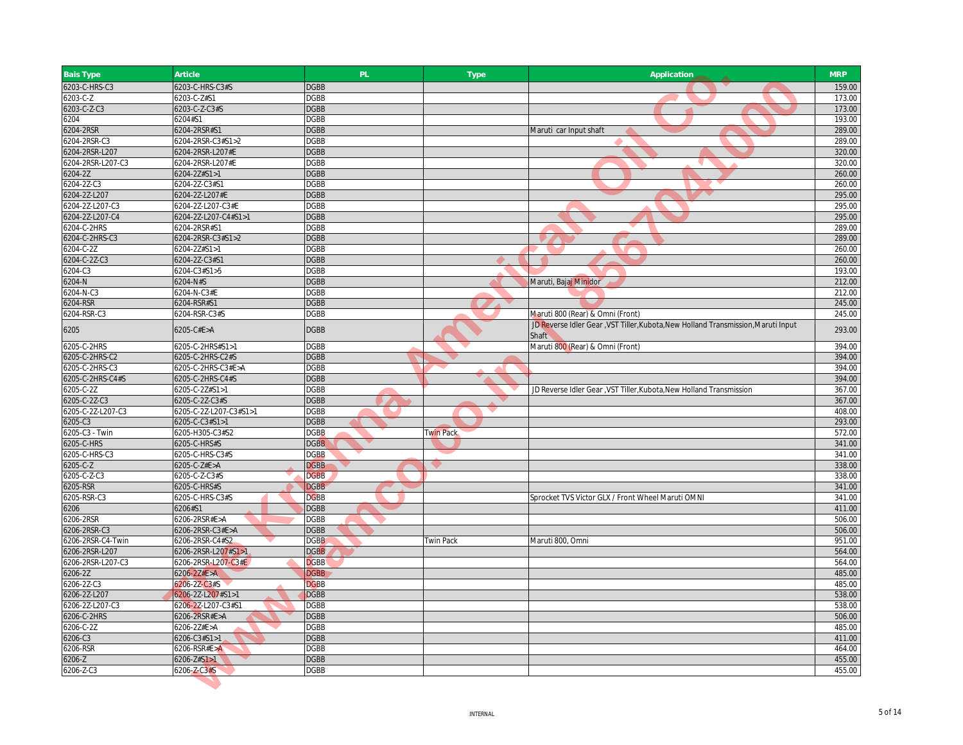| <b>Bais Type</b>  | Article                | PL          | <b>Type</b>      | Application                                                                                       | <b>MRP</b> |
|-------------------|------------------------|-------------|------------------|---------------------------------------------------------------------------------------------------|------------|
| 6203-C-HRS-C3     | 6203-C-HRS-C3#S        | <b>DGBB</b> |                  |                                                                                                   | 159.00     |
| 6203-C-Z          | 6203-C-Z#S1            | <b>DGBB</b> |                  |                                                                                                   | 173.00     |
| 6203-C-Z-C3       | 6203-C-Z-C3#S          | <b>DGBB</b> |                  |                                                                                                   | 173.00     |
| 6204              | 6204#S1                | <b>DGBB</b> |                  |                                                                                                   | 193.00     |
| 6204-2RSR         | 6204-2RSR#S1           | <b>DGBB</b> |                  | Maruti car Input shaft                                                                            | 289.00     |
| 6204-2RSR-C3      | 6204-2RSR-C3#S1>2      | <b>DGBB</b> |                  |                                                                                                   | 289.00     |
| 6204-2RSR-L207    | 6204-2RSR-L207#E       | <b>DGBB</b> |                  |                                                                                                   | 320.00     |
| 6204-2RSR-L207-C3 | 6204-2RSR-L207#E       | <b>DGBB</b> |                  | - 7                                                                                               | 320.00     |
| 6204-2Z           | 6204-2Z#S1>1           | <b>DGBB</b> |                  |                                                                                                   | 260.00     |
| 6204-2Z-C3        | 6204-2Z-C3#S1          | <b>DGBB</b> |                  |                                                                                                   | 260.00     |
| 6204-2Z-L207      | 6204-2Z-L207#E         | <b>DGBB</b> |                  |                                                                                                   | 295.00     |
| 6204-2Z-L207-C3   | 6204-2Z-L207-C3#E      | <b>DGBB</b> |                  |                                                                                                   | 295.00     |
| 6204-2Z-L207-C4   | 6204-2Z-L207-C4#S1>1   | <b>DGBB</b> |                  |                                                                                                   | 295.00     |
| 6204-C-2HRS       | 6204-2RSR#S1           | <b>DGBB</b> |                  |                                                                                                   | 289.00     |
| 6204-C-2HRS-C3    | 6204-2RSR-C3#S1>2      | <b>DGBB</b> |                  |                                                                                                   | 289.00     |
| 5204-C-2Z         | 6204-2Z#S1>1           | <b>DGBB</b> |                  |                                                                                                   | 260.00     |
| 6204-C-2Z-C3      | 6204-2Z-C3#S1          | <b>DGBB</b> |                  |                                                                                                   | 260.00     |
| 5204-C3           | 6204-C3#S1>5           | <b>DGBB</b> |                  |                                                                                                   | 193.00     |
| 6204-N            | 6204-N#S               | <b>DGBB</b> |                  | Maruti, Bajaj Minidor                                                                             | 212.00     |
| 204-N-C3          | 6204-N-C3#E            | <b>DGBB</b> |                  |                                                                                                   | 212.00     |
| 6204-RSR          | 6204-RSR#S1            | <b>DGBB</b> |                  |                                                                                                   | 245.00     |
| 6204-RSR-C3       | 6204-RSR-C3#S          | <b>DGBB</b> |                  | Maruti 800 (Rear) & Omni (Front)                                                                  | 245.00     |
| 6205              | 6205-C#E>A             | <b>DGBB</b> |                  | JD Reverse Idler Gear, VST Tiller, Kubota, New Holland Transmission, Maruti Input<br><b>Shaft</b> | 293.00     |
| 6205-C-2HRS       | 6205-C-2HRS#S1>1       | <b>DGBB</b> |                  | Maruti 800 (Rear) & Omni (Front)                                                                  | 394.00     |
| 6205-C-2HRS-C2    | 6205-C-2HRS-C2#S       | <b>DGBB</b> |                  |                                                                                                   | 394.00     |
| 6205-C-2HRS-C3    | 6205-C-2HRS-C3#E>A     | <b>DGBB</b> |                  |                                                                                                   | 394.00     |
| 6205-C-2HRS-C4#S  | 6205-C-2HRS-C4#S       | <b>DGBB</b> |                  |                                                                                                   | 394.00     |
| 6205-C-2Z         | 6205-C-2Z#S1>1         | <b>DGBB</b> |                  | JD Reverse Idler Gear, VST Tiller, Kubota, New Holland Transmission                               | 367.00     |
| 6205-C-2Z-C3      | 6205-C-2Z-C3#S         | <b>DGBB</b> |                  |                                                                                                   | 367.00     |
| 5205-C-2Z-L207-C3 | 6205-C-2Z-L207-C3#S1>1 | <b>DGBB</b> |                  |                                                                                                   | 408.00     |
| 6205-C3           | 6205-C-C3#S1>1         | <b>DGBB</b> |                  |                                                                                                   | 293.00     |
| 6205-C3 - Twin    | 6205-H305-C3#S2        | <b>DGBB</b> | <b>Twin Pack</b> |                                                                                                   | 572.00     |
| 6205-C-HRS        | 6205-C-HRS#S           | <b>DGBB</b> |                  |                                                                                                   | 341.00     |
| 6205-C-HRS-C3     | 6205-C-HRS-C3#S        | <b>DGBB</b> |                  |                                                                                                   | 341.00     |
| 6205-C-Z          | 6205-C-Z#E>A           | <b>DGBB</b> |                  |                                                                                                   | 338.00     |
| 205-C-Z-C3        | 6205-C-Z-C3#S          | <b>DGBB</b> |                  |                                                                                                   | 338.00     |
| 6205-RSR          | 6205-C-HRS#S           | <b>DGBB</b> |                  |                                                                                                   | 341.00     |
| 6205-RSR-C3       | 6205-C-HRS-C3#S        | <b>DGBB</b> |                  | Sprocket TVS Victor GLX / Front Wheel Maruti OMNI                                                 | 341.00     |
| 6206              | 6206#S1                | <b>DGBB</b> |                  |                                                                                                   | 411.00     |
| 6206-2RSR         | 6206-2RSR#E>A          | <b>DGBB</b> |                  |                                                                                                   | 506.00     |
| 6206-2RSR-C3      | 6206-2RSR-C3#E>A       | <b>DGBB</b> |                  |                                                                                                   | 506.00     |
| 6206-2RSR-C4-Twin | 6206-2RSR-C4#S2        | <b>DGBB</b> | <b>Twin Pack</b> | Maruti 800, Omni                                                                                  | 951.00     |
| 6206-2RSR-L207    | 6206-2RSR-L207#S1>1    | <b>DGBB</b> |                  |                                                                                                   | 564.00     |
| 6206-2RSR-L207-C3 | 6206-2RSR-L207-C3#E    | <b>DGBB</b> |                  |                                                                                                   | 564.00     |
| 6206-2Z           | $6206 - 22#E > A$      | <b>DGBB</b> |                  |                                                                                                   | 485.00     |
| 6206-2Z-C3        | 6206-2Z-C3#S           | <b>DGBB</b> |                  |                                                                                                   | 485.00     |
| 6206-2Z-L207      | 5206-2Z-L207#S1>1      | <b>DGBB</b> |                  |                                                                                                   | 538.00     |
| 6206-2Z-L207-C3   | 6206-2Z-L207-C3#S1     | <b>DGBB</b> |                  |                                                                                                   | 538.00     |
| 6206-C-2HRS       | 6206-2RSR#E>A          | <b>DGBB</b> |                  |                                                                                                   | 506.00     |
| 206-C-2Z          | $6206 - 2Z#E > A$      | <b>DGBB</b> |                  |                                                                                                   | 485.00     |
| 6206-C3           | 6206-C3#S1>1           | <b>DGBB</b> |                  |                                                                                                   | 411.00     |
| 6206-RSR          | 6206-RSR#E>A           | <b>DGBB</b> |                  |                                                                                                   | 464.00     |
| $5206 - Z$        | $6206 - Z#S1 > 1$      | <b>DGBB</b> |                  |                                                                                                   | 455.00     |
| 6206-Z-C3         | 6206-Z-C3#S            | <b>DGBB</b> |                  |                                                                                                   | 455.00     |
|                   |                        |             |                  |                                                                                                   |            |
|                   |                        |             |                  |                                                                                                   |            |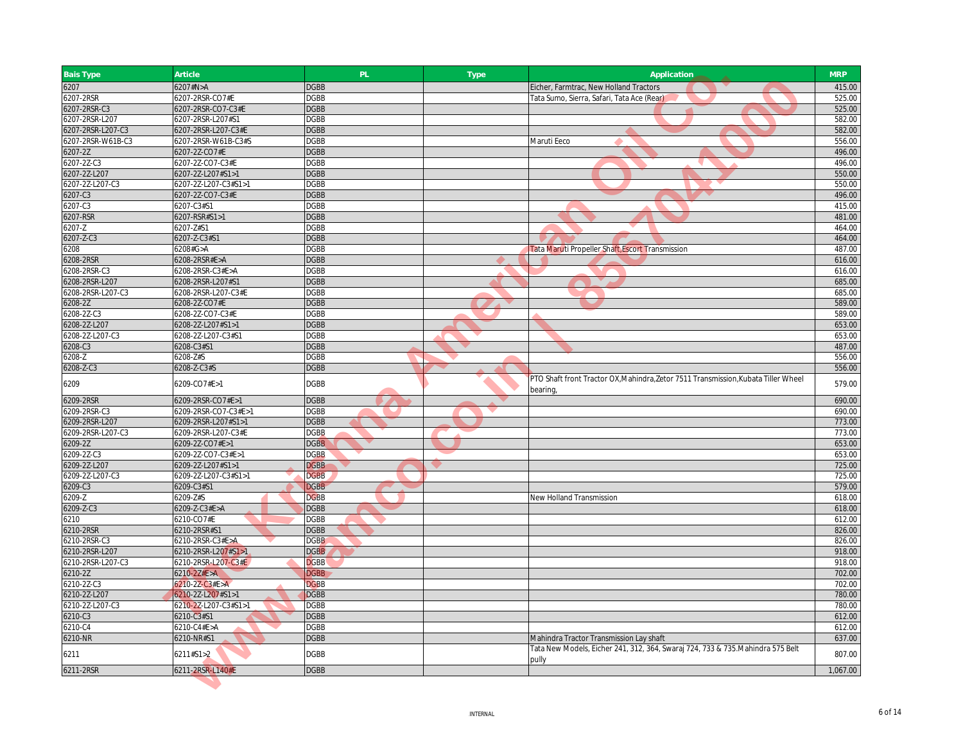| <b>Bais Type</b>  | Article                  | PL          | <b>Type</b> | Application                                                                                   | <b>MRP</b> |
|-------------------|--------------------------|-------------|-------------|-----------------------------------------------------------------------------------------------|------------|
| 6207              | 6207#N>A                 | <b>DGBB</b> |             | Eicher, Farmtrac, New Holland Tractors                                                        | 415.00     |
| 6207-2RSR         | 6207-2RSR-CO7#E          | <b>DGBB</b> |             | Tata Sumo, Sierra, Safari, Tata Ace (Rear)                                                    | 525.00     |
| 6207-2RSR-C3      | 6207-2RSR-CO7-C3#E       | <b>DGBB</b> |             |                                                                                               | 525.00     |
| 6207-2RSR-L207    | 6207-2RSR-L207#S1        | <b>DGBB</b> |             |                                                                                               | 582.00     |
| 6207-2RSR-L207-C3 | 6207-2RSR-L207-C3#E      | <b>DGBB</b> |             |                                                                                               | 582.00     |
| 6207-2RSR-W61B-C3 | 6207-2RSR-W61B-C3#S      | <b>DGBB</b> |             | Maruti Eeco                                                                                   | 556.00     |
| 6207-2Z           | 6207-2Z-CO7#E            | <b>DGBB</b> |             |                                                                                               | 496.00     |
| 6207-2Z-C3        | 6207-2Z-CO7-C3#E         | <b>DGBB</b> |             |                                                                                               | 496.00     |
| 6207-2Z-L207      | 6207-2Z-L207#S1>1        | <b>DGBB</b> |             |                                                                                               | 550.00     |
| 6207-2Z-L207-C3   | 6207-2Z-L207-C3#S1>1     | <b>DGBB</b> |             |                                                                                               | 550.00     |
| 6207-C3           | 6207-2Z-CO7-C3#E         | <b>DGBB</b> |             |                                                                                               | 496.00     |
| 6207-C3           | 6207-C3#S1               | <b>DGBB</b> |             |                                                                                               | 415.00     |
| 6207-RSR          | 6207-RSR#S1>1            | <b>DGBB</b> |             |                                                                                               | 481.00     |
| 6207-Z            | 6207-Z#S1                | <b>DGBB</b> |             |                                                                                               | 464.00     |
| 6207-Z-C3         | 6207-Z-C3#S1             | <b>DGBB</b> |             |                                                                                               | 464.00     |
| 6208              | 6208#G>A                 | <b>DGBB</b> |             | Tata Maruti Propeller Shaft, Escort Transmission                                              | 487.00     |
| 6208-2RSR         | 6208-2RSR#E>A            | <b>DGBB</b> |             |                                                                                               | 616.00     |
| 6208-2RSR-C3      | 6208-2RSR-C3#E>A         | <b>DGBB</b> |             |                                                                                               | 616.00     |
| 6208-2RSR-L207    | 6208-2RSR-L207#S1        | <b>DGBB</b> |             |                                                                                               | 685.00     |
| 6208-2RSR-L207-C3 | 6208-2RSR-L207-C3#E      | <b>DGBB</b> |             |                                                                                               | 685.00     |
| 6208-2Z           | 6208-2Z-CO7#E            | <b>DGBB</b> |             |                                                                                               | 589.00     |
| 6208-2Z-C3        | 6208-2Z-CO7-C3#E         | <b>DGBB</b> |             |                                                                                               | 589.00     |
| 6208-2Z-L207      | 6208-2Z-L207#S1>1        | <b>DGBB</b> |             |                                                                                               | 653.00     |
| 6208-2Z-L207-C3   | 6208-2Z-L207-C3#S1       | <b>DGBB</b> |             |                                                                                               | 653.00     |
| 6208-C3           | 6208-C3#S1               | <b>DGBB</b> |             |                                                                                               | 487.00     |
| 6208-Z            | 6208-Z#S                 | <b>DGBB</b> |             |                                                                                               | 556.00     |
| 6208-Z-C3         | 6208-Z-C3#S              | <b>DGBB</b> |             |                                                                                               | 556.00     |
| 6209              | 6209-CO7#E>1             | <b>DGBB</b> |             | PTO Shaft front Tractor OX, Mahindra, Zetor 7511 Transmission, Kubata Tiller Wheel<br>bearing | 579.00     |
| 6209-2RSR         | 6209-2RSR-CO7#E>1        | <b>DGBB</b> |             |                                                                                               | 690.00     |
| 6209-2RSR-C3      | 6209-2RSR-CO7-C3#E>1     | <b>DGBB</b> |             |                                                                                               | 690.00     |
| 6209-2RSR-L207    | 6209-2RSR-L207#S1>1      | <b>DGBB</b> |             |                                                                                               | 773.00     |
| 6209-2RSR-L207-C3 | 6209-2RSR-L207-C3#E      | <b>DGBB</b> |             |                                                                                               | 773.00     |
| 6209-2Z           | 6209-2Z-CO7#E>1          | <b>DGBB</b> |             |                                                                                               | 653.00     |
| 6209-2Z-C3        | 6209-2Z-CO7-C3#E>1       | <b>DGBB</b> |             |                                                                                               | 653.00     |
| 6209-2Z-L207      | 6209-2Z-L207#S1>1        | <b>DGBB</b> |             |                                                                                               | 725.00     |
| 6209-2Z-L207-C3   | 6209-2Z-L207-C3#S1>1     | <b>DGBB</b> |             |                                                                                               | 725.00     |
| 6209-C3           | 6209-C3#S1               | <b>DGBB</b> |             |                                                                                               | 579.00     |
| $6209 - Z$        | 6209-Z#S                 | <b>DGBB</b> |             | New Holland Transmission                                                                      | 618.00     |
| 6209-Z-C3         | 6209-Z-C3#E>A            | <b>DGBB</b> |             |                                                                                               | 618.00     |
| 6210              | 6210-CO7#E               | <b>DGBB</b> |             |                                                                                               | 612.00     |
| 6210-2RSR         | 6210-2RSR#S1             | <b>DGBB</b> |             |                                                                                               | 826.00     |
| 6210-2RSR-C3      | 6210-2RSR-C3#E>A         | <b>DGBB</b> |             |                                                                                               | 826.00     |
| 6210-2RSR-L207    | 6210-2RSR-L207#S1>1      | <b>DGBB</b> |             |                                                                                               | 918.00     |
| 6210-2RSR-L207-C3 | 6210-2RSR-L207-C3#E      | <b>DGBB</b> |             |                                                                                               | 918.00     |
| 6210-2Z           | $6210 - 22#E > A$        | <b>DGBB</b> |             |                                                                                               | 702.00     |
| 6210-2Z-C3        | $6210 - 2Z - C3 \#E > A$ | <b>DGBB</b> |             |                                                                                               | 702.00     |
| 6210-2Z-L207      | 6210-2Z-L207#S1>1        | <b>DGBB</b> |             |                                                                                               | 780.00     |
| 6210-2Z-L207-C3   | 6210-2Z-L207-C3#S1>1     | <b>DGBB</b> |             |                                                                                               | 780.00     |
| 6210-C3           | 6210-C3#S1               | <b>DGBB</b> |             |                                                                                               | 612.00     |
| 6210-C4           | 6210-C4#E>A              | <b>DGBB</b> |             |                                                                                               | 612.00     |
| 6210-NR           | 6210-NR#S1               | <b>DGBB</b> |             | Mahindra Tractor Transmission Lay shaft                                                       | 637.00     |
|                   |                          |             |             | Tata New Models, Eicher 241, 312, 364, Swaraj 724, 733 & 735.Mahindra 575 Belt                |            |
| 6211              | 6211#S1>2                | <b>DGBB</b> |             | pully                                                                                         | 807.00     |
| 6211-2RSR         | 6211-2RSR-L140#E         | <b>DGBB</b> |             |                                                                                               | 1,067.00   |
|                   |                          |             |             |                                                                                               |            |
|                   |                          |             |             |                                                                                               |            |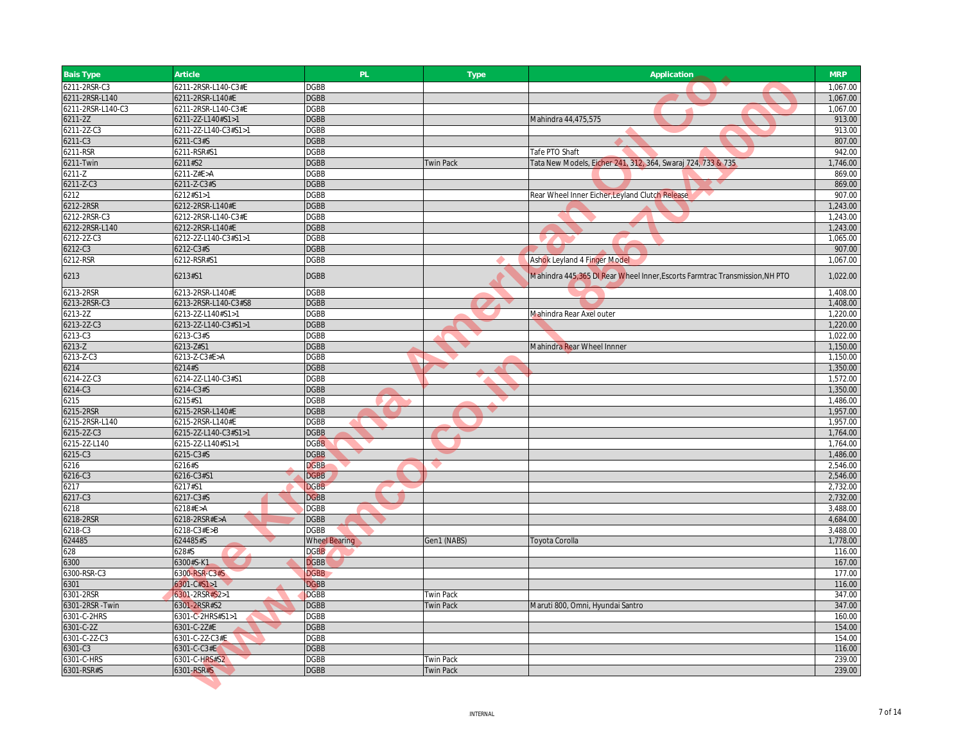| <b>Bais Type</b>  | Article              | PL                         | <b>Type</b>      | Application                                                                 | <b>MRP</b>           |
|-------------------|----------------------|----------------------------|------------------|-----------------------------------------------------------------------------|----------------------|
| 6211-2RSR-C3      | 6211-2RSR-L140-C3#E  | <b>DGBB</b>                |                  |                                                                             | 1,067.00             |
| 6211-2RSR-L140    | 6211-2RSR-L140#E     | <b>DGBB</b>                |                  |                                                                             | 1,067.00             |
| 6211-2RSR-L140-C3 | 6211-2RSR-L140-C3#E  | <b>DGBB</b>                |                  |                                                                             | 1,067.00             |
| 6211-2Z           | 6211-2Z-L140#S1>1    | <b>DGBB</b>                |                  | Mahindra 44,475,575                                                         | 913.00               |
| 6211-2Z-C3        | 6211-2Z-L140-C3#S1>1 | <b>DGBB</b>                |                  |                                                                             | 913.00               |
| 6211-C3           | 6211-C3#S            | <b>DGBB</b>                |                  |                                                                             | 807.00               |
| 6211-RSR          | 6211-RSR#S1          | <b>DGBB</b>                |                  | Tafe PTO Shaft                                                              | 942.00               |
| 6211-Twin         | 6211#S2              | <b>DGBB</b>                | <b>Twin Pack</b> | Tata New Models, Eicher 241, 312, 364, Swaraj 724, 733 & 735                | 1,746.00             |
| 6211-Z            | 6211-Z#E>A           | <b>DGBB</b>                |                  |                                                                             | 869.00               |
| 6211-Z-C3         | 6211-Z-C3#S          | <b>DGBB</b>                |                  |                                                                             | 869.00               |
| 6212              | 6212#S1>1            | <b>DGBB</b>                |                  | Rear Wheel Inner Eicher, Leyland Clutch Release                             | 907.00               |
| 6212-2RSR         | 6212-2RSR-L140#E     | <b>DGBB</b>                |                  |                                                                             | 1,243.00             |
| 6212-2RSR-C3      | 6212-2RSR-L140-C3#E  | <b>DGBB</b>                |                  |                                                                             | 1,243.00             |
| 6212-2RSR-L140    | 6212-2RSR-L140#E     | <b>DGBB</b>                |                  |                                                                             | 1,243.00             |
| 6212-2Z-C3        | 6212-2Z-L140-C3#S1>1 | <b>DGBB</b>                |                  |                                                                             | 1,065.00             |
| 6212-C3           | 6212-C3#S            | <b>DGBB</b>                |                  |                                                                             | 907.00               |
| 6212-RSR          | 6212-RSR#S1          | <b>DGBB</b>                |                  | <b>Ashok Leyland 4 Finger Model</b>                                         | 1,067.00             |
| 6213              | 6213#S1              | <b>DGBB</b>                |                  | Mahindra 445,365 DI Rear Wheel Inner, Escorts Farmtrac Transmission, NH PTO | 1,022.00             |
| 6213-2RSR         | 6213-2RSR-L140#E     | <b>DGBB</b>                |                  |                                                                             | 1,408.00             |
| 6213-2RSR-C3      | 6213-2RSR-L140-C3#S8 | <b>DGBB</b>                |                  |                                                                             | 1,408.00             |
| 6213-2Z           | 6213-2Z-L140#S1>1    | <b>DGBB</b>                |                  | Mahindra Rear Axel outer                                                    | 1,220.00             |
| 6213-2Z-C3        | 6213-2Z-L140-C3#S1>1 | <b>DGBB</b>                |                  |                                                                             | 1,220.00             |
| 6213-C3           | 6213-C3#S            | <b>DGBB</b>                |                  |                                                                             | 1,022.00             |
| 6213-Z            | 6213-Z#S1            | <b>DGBB</b>                |                  | Mahindra Rear Wheel Innner                                                  | 1,150.00             |
| 6213-Z-C3         | 6213-Z-C3#E>A        | <b>DGBB</b>                |                  |                                                                             | 1,150.00             |
| 6214              | 6214#S               | <b>DGBB</b>                |                  |                                                                             | 1,350.00             |
| 6214-2Z-C3        | 6214-2Z-L140-C3#S1   | <b>DGBB</b>                |                  |                                                                             | 1,572.00             |
| 6214-C3<br>6215   | 6214-C3#S<br>6215#S1 | <b>DGBB</b><br><b>DGBB</b> |                  |                                                                             | 1,350.00<br>1,486.00 |
| 6215-2RSR         | 6215-2RSR-L140#E     | <b>DGBB</b>                |                  |                                                                             | 1,957.00             |
| 6215-2RSR-L140    | 6215-2RSR-L140#E     | <b>DGBB</b>                |                  |                                                                             | 1,957.00             |
| 6215-2Z-C3        | 6215-2Z-L140-C3#S1>1 | <b>DGBB</b>                |                  |                                                                             | 1,764.00             |
| 6215-2Z-L140      | 6215-2Z-L140#S1>1    | <b>DGBB</b>                |                  |                                                                             | 1,764.00             |
| 6215-C3           | 6215-C3#S            | <b>DGBB</b>                |                  |                                                                             | 1,486.00             |
| 6216              | 6216#S               | <b>DGBB</b>                |                  |                                                                             | 2,546.00             |
| 6216-C3           | 6216-C3#S1           | <b>DGBB</b>                |                  |                                                                             | 2,546.00             |
| 6217              | 6217#S1              | <b>DGBB</b>                |                  |                                                                             | 2,732.00             |
| 6217-C3           | 6217-C3#S            | <b>DGBB</b>                |                  |                                                                             | 2,732.00             |
| 6218              | 6218#E>A             | <b>DGBB</b>                |                  |                                                                             | 3,488.00             |
| 6218-2RSR         | 6218-2RSR#E>A        | <b>DGBB</b>                |                  |                                                                             | 4,684.00             |
| 6218-C3           | 6218-C3#E>B          | <b>DGBB</b>                |                  |                                                                             | 3,488.00             |
| 624485            | 624485#S             | <b>Wheel Bearing</b>       | Gen1 (NABS)      | Toyota Corolla                                                              | 1,778.00             |
| 628               | 628#S                | <b>DGBB</b>                |                  |                                                                             | 116.00               |
| 6300              | 6300#S-K1            | <b>DGBB</b>                |                  |                                                                             | 167.00               |
| 6300-RSR-C3       | 6300-RSR-C3#S        | <b>DGBB</b>                |                  |                                                                             | 177.00               |
| 6301              | $6301 - C#S1 > 1$    | <b>DGBB</b>                |                  |                                                                             | 116.00               |
| 6301-2RSR         | 6301-2RSR#S2>1       | <b>DGBB</b>                | <b>Twin Pack</b> |                                                                             | 347.00               |
| 6301-2RSR-Twin    | 6301-2RSR#S2         | <b>DGBB</b>                | <b>Twin Pack</b> | Maruti 800, Omni, Hyundai Santro                                            | 347.00               |
| 6301-C-2HRS       | 6301-C-2HRS#S1>1     | <b>DGBB</b>                |                  |                                                                             | 160.00               |
| 6301-C-2Z         | 6301-C-2Z#E          | <b>DGBB</b>                |                  |                                                                             | 154.00               |
| 6301-C-2Z-C3      | 6301-C-2Z-C3#E       | <b>DGBB</b>                |                  |                                                                             | 154.00               |
| 6301-C3           | 6301-C-C3#E          | <b>DGBB</b>                |                  |                                                                             | 116.00               |
| 6301-C-HRS        | 6301-C-HRS#S2        | <b>DGBB</b>                | <b>Twin Pack</b> |                                                                             | 239.00               |
| 6301-RSR#S        | 6301-RSR#S           | <b>DGBB</b>                | <b>Twin Pack</b> |                                                                             | 239.00               |
|                   |                      |                            |                  |                                                                             |                      |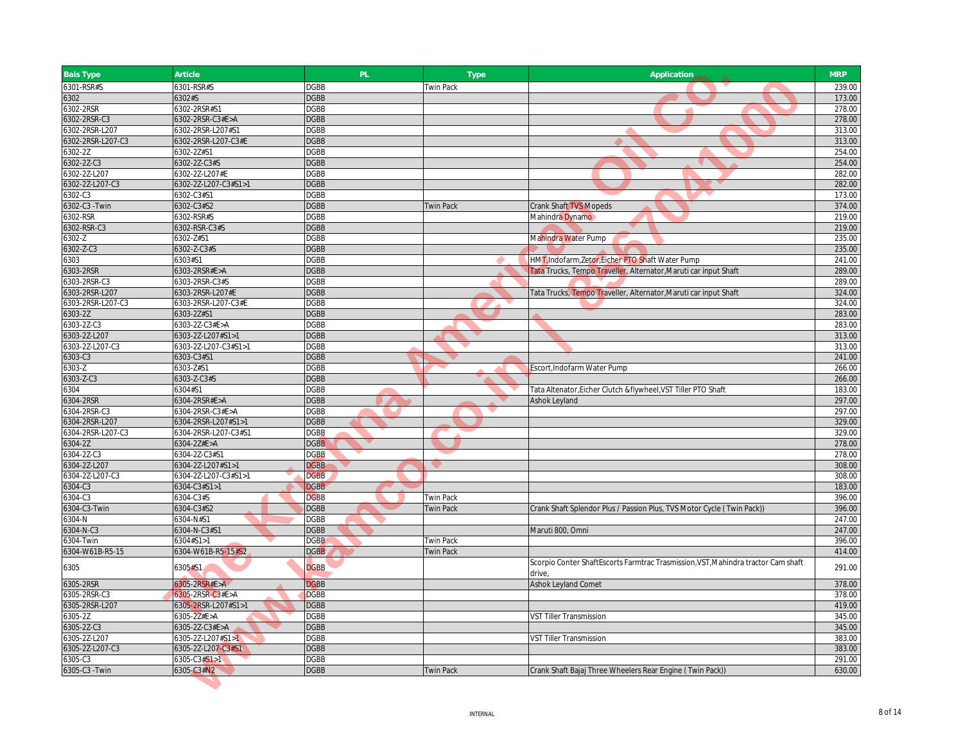| Bais Type                 | Article                       | PL                         | <b>Type</b>      | Application                                                                       | <b>MRP</b>       |
|---------------------------|-------------------------------|----------------------------|------------------|-----------------------------------------------------------------------------------|------------------|
| 6301-RSR#S                | 6301-RSR#S                    | <b>DGBB</b>                | <b>Twin Pack</b> |                                                                                   | 239.00           |
| 6302                      | 6302#S                        | <b>DGBB</b>                |                  |                                                                                   | 173.00           |
| 6302-2RSR                 | 6302-2RSR#S1                  | <b>DGBB</b>                |                  |                                                                                   | 278.00           |
| 6302-2RSR-C3              | 6302-2RSR-C3#E>A              | <b>DGBB</b>                |                  |                                                                                   | 278.00           |
| 6302-2RSR-L207            | 6302-2RSR-L207#S1             | <b>DGBB</b>                |                  |                                                                                   | 313.00           |
| 6302-2RSR-L207-C3         | 6302-2RSR-L207-C3#E           | <b>DGBB</b>                |                  |                                                                                   | 313.00           |
| 6302-2Z                   | 6302-2Z#S1                    | <b>DGBB</b>                |                  |                                                                                   | 254.00           |
| 6302-2Z-C3                | 6302-2Z-C3#S                  | <b>DGBB</b>                |                  |                                                                                   | 254.00           |
| 302-2Z-L207               | 6302-2Z-L207#E                | <b>DGBB</b>                |                  |                                                                                   | 282.00           |
| 6302-2Z-L207-C3           | 6302-2Z-L207-C3#S1>1          | <b>DGBB</b>                |                  |                                                                                   | 282.00           |
| 5302-C3                   | 6302-C3#S1                    | <b>DGBB</b>                |                  |                                                                                   | 173.00           |
| 6302-C3 - Twin            | 6302-C3#S2                    | <b>DGBB</b>                | <b>Twin Pack</b> | <b>Crank Shaft TVS Mopeds</b>                                                     | 374.00           |
| 6302-RSR                  | 6302-RSR#S                    | <b>DGBB</b>                |                  | Mahindra Dynamo                                                                   | 219.00           |
| 6302-RSR-C3               | 6302-RSR-C3#S                 | <b>DGBB</b>                |                  |                                                                                   | 219.00           |
| 6302-Z                    | 6302-Z#S1                     | <b>DGBB</b>                |                  | Mahindra Water Pump                                                               | 235.00           |
| 6302-Z-C3                 | 6302-Z-C3#S                   | <b>DGBB</b>                |                  |                                                                                   | 235.00           |
| 6303                      | 6303#S1                       | <b>DGBB</b>                |                  | HMT, Indofarm, Zetor, Eicher PTO Shaft Water Pump                                 | 241.00           |
| 6303-2RSR                 | 6303-2RSR#E>A                 | <b>DGBB</b>                |                  | Tata Trucks, Tempo Traveller, Alternator, Maruti car input Shaft                  | 289.00           |
| 6303-2RSR-C3              | 6303-2RSR-C3#S                | <b>DGBB</b>                |                  |                                                                                   | 289.00           |
| 6303-2RSR-L207            | 6303-2RSR-L207#E              | <b>DGBB</b>                |                  | Tata Trucks, Tempo Traveller, Alternator, Maruti car input Shaft                  | 324.00           |
| 6303-2RSR-L207-C3         | 6303-2RSR-L207-C3#E           | <b>DGBB</b>                |                  |                                                                                   | 324.00           |
| 6303-2Z                   | 6303-2Z#S1                    | <b>DGBB</b>                |                  |                                                                                   | 283.00           |
| 303-2Z-C3                 | $6303 - 22 - C3#E > A$        | <b>DGBB</b>                |                  |                                                                                   | 283.00           |
| 6303-2Z-L207              | 6303-2Z-L207#S1>1             | <b>DGBB</b>                |                  |                                                                                   | 313.00           |
| 6303-2Z-L207-C3           | 6303-2Z-L207-C3#S1>1          | <b>DGBB</b>                |                  |                                                                                   | 313.00           |
| 6303-C3                   | 6303-C3#S1                    | <b>DGBB</b>                |                  |                                                                                   | 241.00           |
| $6303 - Z$                | 6303-Z#S1                     | <b>DGBB</b>                |                  | Escort, Indofarm Water Pump                                                       | 266.00           |
| 6303-Z-C3                 | 6303-Z-C3#S                   | <b>DGBB</b>                |                  |                                                                                   | 266.00           |
| 6304                      | 6304#S1                       | <b>DGBB</b>                |                  | Tata Altenator, Eicher Clutch & flywheel, VST Tiller PTO Shaft                    | 183.00           |
| 6304-2RSR                 | 6304-2RSR#E>A                 | <b>DGBB</b>                |                  | Ashok Leyland                                                                     | 297.00           |
| 6304-2RSR-C3              | 6304-2RSR-C3#E>A              | <b>DGBB</b>                |                  |                                                                                   | 297.00           |
| 6304-2RSR-L207            | 6304-2RSR-L207#S1>1           | <b>DGBB</b>                |                  |                                                                                   | 329.00           |
| 6304-2RSR-L207-C3         | 6304-2RSR-L207-C3#S1          | <b>DGBB</b>                |                  |                                                                                   | 329.00           |
| 6304-2Z                   | 6304-2Z#E>A                   | <b>DGBB</b>                |                  |                                                                                   | 278.00           |
| 6304-2Z-C3                | 6304-2Z-C3#S1                 | <b>DGBB</b>                |                  |                                                                                   | 278.00           |
| 6304-2Z-L207              | 6304-2Z-L207#S1>1             | <b>DGBB</b>                |                  |                                                                                   | 308.00           |
| 304-2Z-L207-C3            | 6304-2Z-L207-C3#S1>1          | <b>DGBB</b>                |                  |                                                                                   | 308.00           |
| 6304-C3                   | 6304-C3#S1>1                  | <b>DGBB</b>                |                  |                                                                                   | 183.00           |
| $6304 - C3$               | 6304-C3#S                     | <b>DGBB</b>                | <b>Twin Pack</b> |                                                                                   | 396.00           |
| 6304-C3-Twin              | 6304-C3#S2                    | <b>DGBB</b>                | <b>Twin Pack</b> | Crank Shaft Splendor Plus / Passion Plus, TVS Motor Cycle (Twin Pack))            | 396.00           |
| 6304-N                    | 6304-N#S1                     | <b>DGBB</b>                |                  |                                                                                   | 247.00           |
| 6304-N-C3                 | 6304-N-C3#S1                  | <b>DGBB</b>                |                  | Maruti 800, Omni                                                                  | 247.00           |
| 6304-Twin                 | 6304#S1>1                     | <b>DGBB</b>                | <b>Twin Pack</b> |                                                                                   | 396.00           |
| 6304-W61B-R5-15           | 6304-W61B-R5-15#S2            | <b>DGBB</b>                | <b>Twin Pack</b> |                                                                                   | 414.00           |
| 6305                      | 6305#S1                       | <b>DGBB</b>                |                  | Scorpio Conter ShaftEscorts Farmtrac Trasmission, VST, Mahindra tractor Cam shaft | 291.00           |
|                           |                               |                            |                  | drive.                                                                            | 378.00           |
| 6305-2RSR                 | 6305-2RSR#E>A                 | <b>DGBB</b>                |                  | Ashok Leyland Comet                                                               |                  |
| 6305-2RSR-C3              | 6305-2RSR-C3#E>A              | <b>DGBB</b>                |                  |                                                                                   | 378.00           |
| 6305-2RSR-L207<br>6305-2Z | 6305-2RSR-L207#S1>1           | <b>DGBB</b><br><b>DGBB</b> |                  | <b>VST Tiller Transmission</b>                                                    | 419.00<br>345.00 |
| 5305-2Z-C3                | 6305-2Z#E>A<br>6305-2Z-C3#E>A | <b>DGBB</b>                |                  |                                                                                   | 345.00           |
| 6305-2Z-L207              |                               | <b>DGBB</b>                |                  | <b>VST Tiller Transmission</b>                                                    | 383.00           |
|                           | 6305-2Z-L207#S1>1             | <b>DGBB</b>                |                  |                                                                                   | 383.00           |
| 6305-2Z-L207-C3           | 6305-2Z-L207-C3#S1            |                            |                  |                                                                                   |                  |
| 6305-C3                   | 6305-C3#S1>1<br>6305-C3#N2    | <b>DGBB</b><br><b>DGBB</b> |                  |                                                                                   | 291.00<br>630.00 |
| 6305-C3 - Twin            |                               |                            | <b>Twin Pack</b> | Crank Shaft Bajaj Three Wheelers Rear Engine (Twin Pack))                         |                  |
|                           |                               |                            |                  |                                                                                   |                  |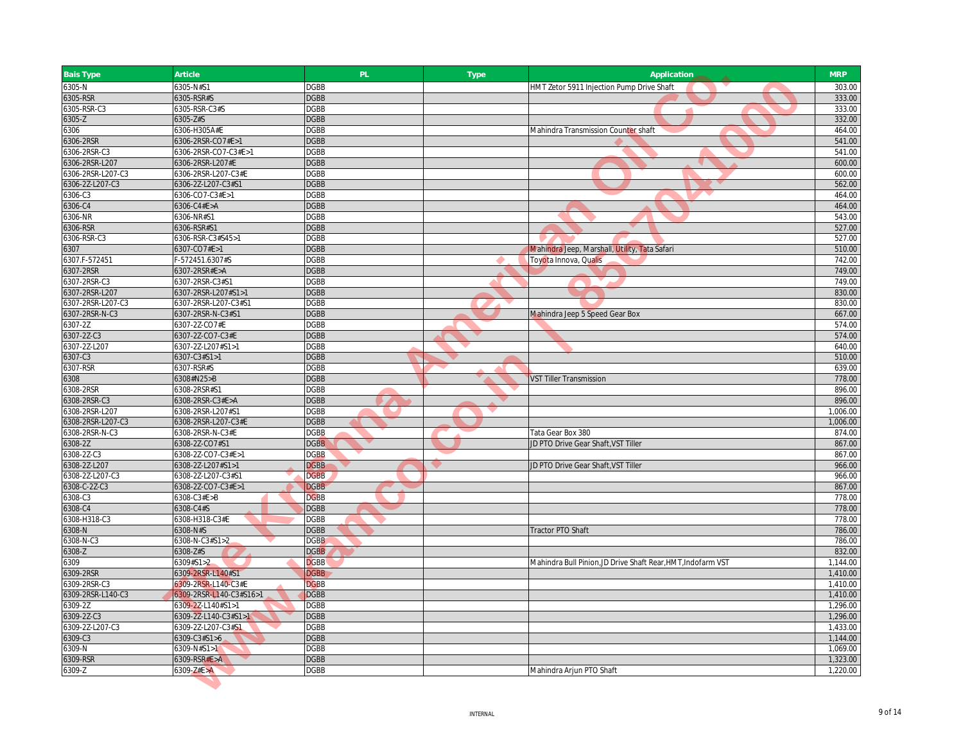| <b>Bais Type</b>  | Article                 | PL.         | <b>Type</b> | Application                                                  | <b>MRP</b> |
|-------------------|-------------------------|-------------|-------------|--------------------------------------------------------------|------------|
| 6305-N            | 6305-N#S1               | <b>DGBB</b> |             | HMT Zetor 5911 Injection Pump Drive Shaft                    | 303.00     |
| 6305-RSR          | 6305-RSR#S              | <b>DGBB</b> |             |                                                              | 333.00     |
| 6305-RSR-C3       | 6305-RSR-C3#S           | <b>DGBB</b> |             |                                                              | 333.00     |
| $6305 - Z$        | 6305-Z#S                | <b>DGBB</b> |             |                                                              | 332.00     |
| 6306              | 6306-H305A#E            | <b>DGBB</b> |             | Mahindra Transmission Counter shaft                          | 464.00     |
| 6306-2RSR         | 6306-2RSR-CO7#E>1       | <b>DGBB</b> |             |                                                              | 541.00     |
| 6306-2RSR-C3      | 6306-2RSR-CO7-C3#E>1    | <b>DGBB</b> |             |                                                              | 541.00     |
| 6306-2RSR-L207    | 6306-2RSR-L207#E        | <b>DGBB</b> |             |                                                              | 600.00     |
| 6306-2RSR-L207-C3 | 6306-2RSR-L207-C3#E     | <b>DGBB</b> |             |                                                              | 600.00     |
| 6306-2Z-L207-C3   | 6306-2Z-L207-C3#S1      | <b>DGBB</b> |             |                                                              | 562.00     |
| 6306-C3           | 6306-CO7-C3#E>1         | <b>DGBB</b> |             |                                                              | 464.00     |
| 6306-C4           | 6306-C4#E>A             | <b>DGBB</b> |             |                                                              | 464.00     |
| 6306-NR           | 6306-NR#S1              | <b>DGBB</b> |             |                                                              | 543.00     |
| 6306-RSR          | 6306-RSR#S1             | <b>DGBB</b> |             |                                                              | 527.00     |
| 6306-RSR-C3       | 6306-RSR-C3#S45>1       | <b>DGBB</b> |             |                                                              | 527.00     |
| 6307              | 6307-CO7#E>1            | <b>DGBB</b> |             | Mahindra Jeep, Marshall, Utility, Tata Safari                | 510.00     |
| 6307.F-572451     | F-572451.6307#S         | <b>DGBB</b> |             | Toyota Innova, Qualis                                        | 742.00     |
| 6307-2RSR         | 6307-2RSR#E>A           | <b>DGBB</b> |             |                                                              | 749.00     |
| 6307-2RSR-C3      | 6307-2RSR-C3#S1         | <b>DGBB</b> |             |                                                              | 749.00     |
| 6307-2RSR-L207    | 6307-2RSR-L207#S1>1     | <b>DGBB</b> |             |                                                              | 830.00     |
| 6307-2RSR-L207-C3 | 6307-2RSR-L207-C3#S1    | <b>DGBB</b> |             |                                                              | 830.00     |
| 6307-2RSR-N-C3    | 6307-2RSR-N-C3#S1       | <b>DGBB</b> |             | Mahindra Jeep 5 Speed Gear Box                               | 667.00     |
| 6307-2Z           | 6307-2Z-CO7#E           | <b>DGBB</b> |             |                                                              | 574.00     |
| 6307-2Z-C3        | 6307-2Z-CO7-C3#E        | <b>DGBB</b> |             |                                                              | 574.00     |
| 6307-2Z-L207      | 6307-2Z-L207#S1>1       | <b>DGBB</b> |             |                                                              | 640.00     |
| 6307-C3           | 6307-C3#S1>1            | <b>DGBB</b> |             |                                                              | 510.00     |
| 6307-RSR          | 6307-RSR#S              | <b>DGBB</b> |             |                                                              | 639.00     |
|                   |                         |             |             |                                                              | 778.00     |
| 6308<br>6308-2RSR | 6308#N25>B              | <b>DGBB</b> |             | VST Tiller Transmission                                      |            |
|                   | 6308-2RSR#S1            | <b>DGBB</b> |             |                                                              | 896.00     |
| 6308-2RSR-C3      | 6308-2RSR-C3#E>A        | <b>DGBB</b> |             |                                                              | 896.00     |
| 6308-2RSR-L207    | 6308-2RSR-L207#S1       | <b>DGBB</b> |             |                                                              | 1,006.00   |
| 6308-2RSR-L207-C3 | 6308-2RSR-L207-C3#E     | <b>DGBB</b> |             |                                                              | 1,006.00   |
| 6308-2RSR-N-C3    | 6308-2RSR-N-C3#E        | <b>DGBB</b> |             | Tata Gear Box 380                                            | 874.00     |
| 6308-2Z           | 6308-2Z-CO7#S1          | <b>DGBB</b> |             | JD PTO Drive Gear Shaft, VST Tiller                          | 867.00     |
| 6308-2Z-C3        | 6308-2Z-CO7-C3#E>1      | <b>DGBB</b> |             |                                                              | 867.00     |
| 6308-2Z-L207      | 6308-2Z-L207#S1>1       | <b>DGBB</b> |             | JD PTO Drive Gear Shaft, VST Tiller                          | 966.00     |
| 6308-2Z-L207-C3   | 6308-2Z-L207-C3#S1      | <b>DGBB</b> |             |                                                              | 966.00     |
| 6308-C-2Z-C3      | 6308-2Z-CO7-C3#E>1      | <b>DGBB</b> |             |                                                              | 867.00     |
| 6308-C3           | 6308-C3#E>B             | <b>DGBB</b> |             |                                                              | 778.00     |
| 6308-C4           | 6308-C4#S               | <b>DGBB</b> |             |                                                              | 778.00     |
| 6308-H318-C3      | 6308-H318-C3#E          | <b>DGBB</b> |             |                                                              | 778.00     |
| 6308-N            | 6308-N#S                | <b>DGBB</b> |             | Tractor PTO Shaft                                            | 786.00     |
| 6308-N-C3         | 6308-N-C3#S1>2          | <b>DGBB</b> |             |                                                              | 786.00     |
| 6308-Z            | 6308-Z#S                | <b>DGBB</b> |             |                                                              | 832.00     |
| 6309              | 6309#S1>2               | <b>DGBB</b> |             | Mahindra Bull Pinion, JD Drive Shaft Rear, HMT, Indofarm VST | 1,144.00   |
| 6309-2RSR         | 6309-2RSR-L140#S1       | <b>DGBB</b> |             |                                                              | 1,410.00   |
| 6309-2RSR-C3      | 6309-2RSR-L140-C3#E     | <b>DGBB</b> |             |                                                              | 1,410.00   |
| 6309-2RSR-L140-C3 | 6309-2RSR-L140-C3#S16>1 | <b>DGBB</b> |             |                                                              | 1,410.00   |
| 6309-2Z           | 6309-2Z-L140#S1>1       | <b>DGBB</b> |             |                                                              | 1,296.00   |
| 6309-2Z-C3        | 6309-2Z-L140-C3#S1>1    | <b>DGBB</b> |             |                                                              | 1,296.00   |
| 6309-2Z-L207-C3   | 6309-2Z-L207-C3#S1      | <b>DGBB</b> |             |                                                              | 1,433.00   |
| 6309-C3           | 6309-C3#S1>6            | <b>DGBB</b> |             |                                                              | 1,144.00   |
| 6309-N            | 6309-N#S1>1             | <b>DGBB</b> |             |                                                              | 1,069.00   |
| 6309-RSR          | 6309-RSR#E>A            | <b>DGBB</b> |             |                                                              | 1,323.00   |
| 6309-Z            | $6309 - Z#E > A$        | DGBB        |             | Mahindra Arjun PTO Shaft                                     | 1,220.00   |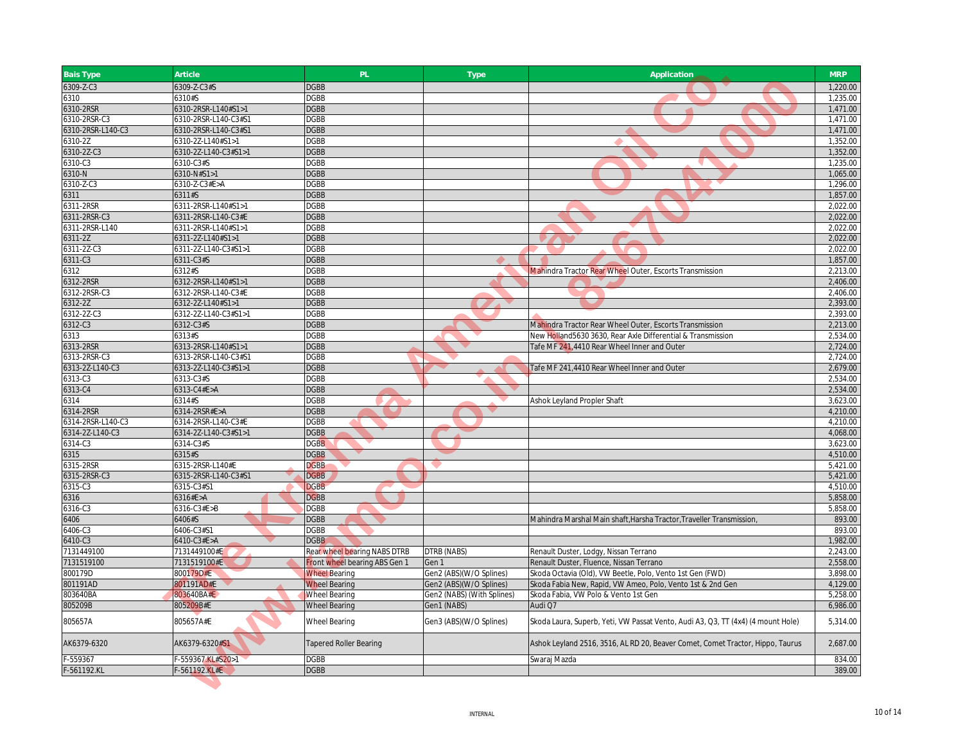| <b>Bais Type</b>          | Article                                  | PL                            | Type                       | Application                                                                      | <b>MRP</b>           |
|---------------------------|------------------------------------------|-------------------------------|----------------------------|----------------------------------------------------------------------------------|----------------------|
| 6309-Z-C3                 | 6309-Z-C3#S                              | <b>DGBB</b>                   |                            |                                                                                  | 1,220.00             |
| 6310                      | 6310#S                                   | <b>DGBB</b>                   |                            |                                                                                  | 1,235.00             |
| 6310-2RSR                 | 6310-2RSR-L140#S1>1                      | <b>DGBB</b>                   |                            |                                                                                  | 1,471.00             |
| 6310-2RSR-C3              | 6310-2RSR-L140-C3#S1                     | <b>DGBB</b>                   |                            |                                                                                  | 1.471.00             |
| 6310-2RSR-L140-C3         | 6310-2RSR-L140-C3#S1                     | <b>DGBB</b>                   |                            |                                                                                  | 1,471.00             |
| 6310-2Z                   | 6310-2Z-L140#S1>1                        | <b>DGBB</b>                   |                            |                                                                                  | 1,352.00             |
| 6310-2Z-C3                | 6310-2Z-L140-C3#S1>1                     | <b>DGBB</b>                   |                            |                                                                                  | 1,352.00             |
| 6310-C3                   | 6310-C3#S                                | <b>DGBB</b>                   |                            |                                                                                  | 1,235.00             |
| 6310-N                    | 6310-N#S1>1                              | <b>DGBB</b>                   |                            |                                                                                  | 1,065.00             |
| 6310-Z-C3                 | 6310-Z-C3#E>A                            | <b>DGBB</b>                   |                            |                                                                                  | 1,296.00             |
| 6311                      | 6311#S                                   | <b>DGBB</b>                   |                            |                                                                                  | 1,857.00             |
| 6311-2RSR                 | 6311-2RSR-L140#S1>1                      | <b>DGBB</b>                   |                            |                                                                                  | 2,022.00             |
| 6311-2RSR-C3              | 6311-2RSR-L140-C3#E                      | <b>DGBB</b>                   |                            |                                                                                  | 2,022.00             |
| 6311-2RSR-L140            | 6311-2RSR-L140#S1>1                      | <b>DGBB</b>                   |                            |                                                                                  | 2,022.00             |
| 6311-2Z                   | 6311-2Z-L140#S1>1                        | <b>DGBB</b>                   |                            |                                                                                  | 2,022.00             |
| 6311-2Z-C3                | 6311-2Z-L140-C3#S1>1                     | <b>DGBB</b>                   |                            |                                                                                  | 2,022.00             |
| 6311-C3                   | 6311-C3#S                                | <b>DGBB</b>                   |                            |                                                                                  | 1,857.00             |
| 6312                      | 6312#S                                   | <b>DGBB</b>                   |                            | Mahindra Tractor Rear Wheel Outer, Escorts Transmission                          | 2,213.00             |
| 6312-2RSR                 | 6312-2RSR-L140#S1>1                      | <b>DGBB</b>                   |                            |                                                                                  | 2,406.00             |
| 6312-2RSR-C3              | 6312-2RSR-L140-C3#E                      | DGBB                          |                            |                                                                                  | 2,406.00             |
| 6312-2Z                   | 6312-2Z-L140#S1>1                        | <b>DGBB</b>                   |                            |                                                                                  | 2,393.00             |
| 6312-2Z-C3                | 6312-2Z-L140-C3#S1>1                     | <b>DGBB</b>                   |                            |                                                                                  | 2,393.00             |
| 6312-C3                   | 6312-C3#S                                | <b>DGBB</b>                   |                            | Mahindra Tractor Rear Wheel Outer, Escorts Transmission                          | 2,213.00             |
| 6313                      | 6313#S                                   | <b>DGBB</b>                   |                            | New Holland5630 3630, Rear Axle Differential & Transmission                      | 2,534.00             |
| 6313-2RSR                 | 6313-2RSR-L140#S1>1                      | <b>DGBB</b>                   |                            | Tafe MF 241,4410 Rear Wheel Inner and Outer                                      | 2,724.00             |
| 6313-2RSR-C3              | 6313-2RSR-L140-C3#S1                     | <b>DGBB</b>                   |                            |                                                                                  | 2,724.00             |
| 6313-2Z-L140-C3           | 6313-2Z-L140-C3#S1>1                     | <b>DGBB</b>                   |                            | Tafe MF 241,4410 Rear Wheel Inner and Outer                                      | 2,679.00             |
| 6313-C3                   | 6313-C3#S                                | <b>DGBB</b>                   |                            |                                                                                  | 2,534.00             |
| 6313-C4                   | 6313-C4#E>A                              | <b>DGBB</b>                   |                            |                                                                                  | 2,534.00             |
| 6314                      | 6314#S                                   | <b>DGBB</b>                   |                            | Ashok Leyland Propler Shaft                                                      | 3,623.00             |
| 6314-2RSR                 | 6314-2RSR#E>A                            | <b>DGBB</b>                   |                            |                                                                                  | 4,210.00             |
| 6314-2RSR-L140-C3         | 6314-2RSR-L140-C3#E                      | <b>DGBB</b>                   |                            |                                                                                  | 4,210.00             |
| 6314-2Z-L140-C3           | 6314-2Z-L140-C3#S1>1                     | <b>DGBB</b>                   |                            |                                                                                  | 4,068.00             |
| 6314-C3                   | 6314-C3#S                                | <b>DGBB</b>                   |                            |                                                                                  | 3,623.00             |
| 6315                      | 6315#S                                   | <b>DGBB</b>                   |                            |                                                                                  | 4,510.00             |
| 6315-2RSR<br>6315-2RSR-C3 | 6315-2RSR-L140#E<br>6315-2RSR-L140-C3#S1 | <b>DGBB</b><br><b>DGBB</b>    |                            |                                                                                  | 5,421.00<br>5,421.00 |
| 6315-C3                   | 6315-C3#S1                               | <b>DGBB</b>                   |                            |                                                                                  | 4,510.00             |
| 6316                      | 6316#E>A                                 | <b>DGBB</b>                   |                            |                                                                                  | 5,858.00             |
| 6316-C3                   | 6316-C3#E>B                              | <b>DGBB</b>                   |                            |                                                                                  | 5,858.00             |
| 6406                      | 6406#S                                   | <b>DGBB</b>                   |                            | Mahindra Marshal Main shaft, Harsha Tractor, Traveller Transmission              | 893.00               |
| 6406-C3                   | 6406-C3#S1                               | <b>DGBB</b>                   |                            |                                                                                  | 893.00               |
| 6410-C3                   | 6410-C3#E>A                              | <b>DGBB</b>                   |                            |                                                                                  | 1,982.00             |
| 7131449100                | 7131449100#E                             | Rear wheel bearing NABS DTRB  | DTRB (NABS)                | Renault Duster, Lodgy, Nissan Terrano                                            | 2,243.00             |
| 7131519100                | 7131519100#E                             | Front wheel bearing ABS Gen 1 | Gen 1                      | Renault Duster, Fluence, Nissan Terrano                                          | 2,558.00             |
| 800179D                   | 800179D#E                                | <b>Wheel Bearing</b>          | Gen2 (ABS)(W/O Splines)    | Skoda Octavia (Old), VW Beetle, Polo, Vento 1st Gen (FWD)                        | 3,898.00             |
| 801191AD                  | 801191AD#E                               | <b>Wheel Bearing</b>          | Gen2 (ABS)(W/O Splines)    | Skoda Fabia New, Rapid, VW Ameo, Polo, Vento 1st & 2nd Gen                       | 4,129.00             |
| 803640BA                  | 803640BA#E                               | <b>Wheel Bearing</b>          | Gen2 (NABS) (With Splines) | Skoda Fabia, VW Polo & Vento 1st Gen                                             | 5,258.00             |
| 805209B                   | 805209B#E                                | <b>Wheel Bearing</b>          | Gen1 (NABS)                | Audi Q7                                                                          | 6,986.00             |
|                           |                                          |                               |                            |                                                                                  |                      |
| 805657A                   | 805657A#E                                | <b>Wheel Bearing</b>          | Gen3 (ABS)(W/O Splines)    | Skoda Laura, Superb, Yeti, VW Passat Vento, Audi A3, Q3, TT (4x4) (4 mount Hole) | 5,314.00             |
| AK6379-6320               | AK6379-6320#S1                           | <b>Tapered Roller Bearing</b> |                            | Ashok Leyland 2516, 3516, AL RD 20, Beaver Comet, Comet Tractor, Hippo, Taurus   | 2,687.00             |
| -559367                   | -559367.KL#S20>1                         | <b>DGBB</b>                   |                            | Swaraj Mazda                                                                     | 834.00               |
| F-561192.KL               | F-561192.KL#E                            | <b>DGBB</b>                   |                            |                                                                                  | 389.00               |
|                           |                                          |                               |                            |                                                                                  |                      |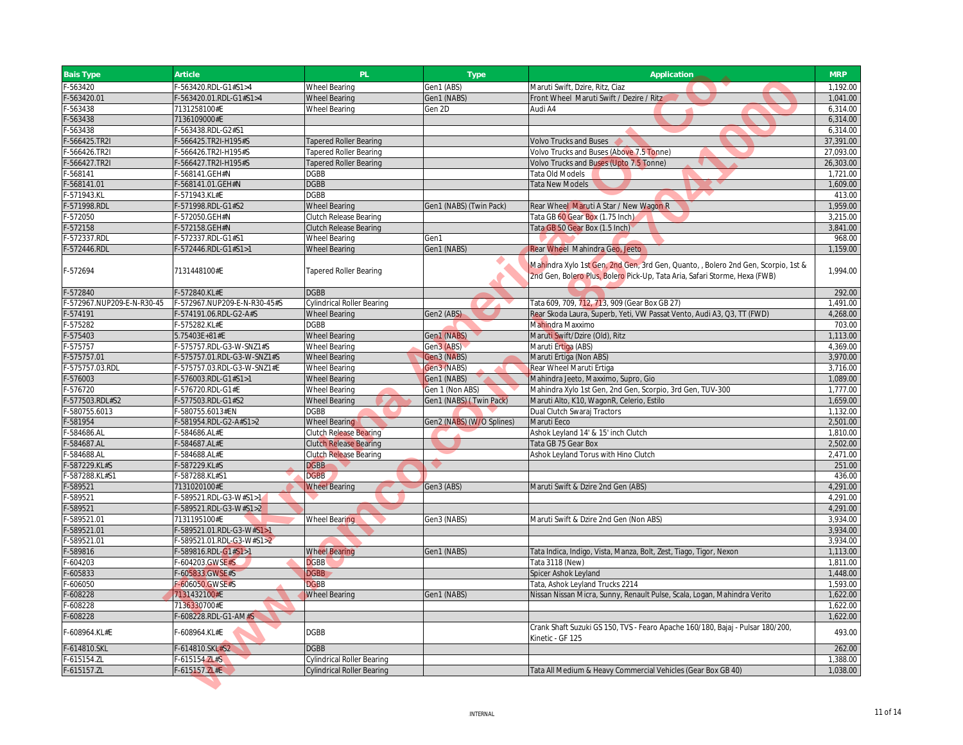| <b>Bais Type</b>          | Article                     | PL                                | Type                      | Application                                                                                                                                                     | <b>MRP</b> |
|---------------------------|-----------------------------|-----------------------------------|---------------------------|-----------------------------------------------------------------------------------------------------------------------------------------------------------------|------------|
| $-563420$                 | -563420.RDL-G1#S1>4         | <b>Wheel Bearing</b>              | Gen1 (ABS)                | Maruti Swift, Dzire, Ritz, Ciaz                                                                                                                                 | 1,192.00   |
| $-563420.01$              | -563420.01.RDL-G1#S1>4      | <b>Wheel Bearing</b>              | Gen1 (NABS)               | Front Wheel Maruti Swift / Dezire / Ritz                                                                                                                        | 1.041.00   |
| -563438                   | 7131258100#E                | <b>Wheel Bearing</b>              | Gen 2D                    | Audi A4                                                                                                                                                         | 6,314.00   |
| -563438                   | 7136109000#E                |                                   |                           |                                                                                                                                                                 | 6,314.00   |
| $-563438$                 | -563438.RDL-G2#S1           |                                   |                           |                                                                                                                                                                 | 6,314.00   |
| -566425.TR2I              | -566425.TR2I-H195#S         | Tapered Roller Bearing            |                           | <b>Volvo Trucks and Buses</b>                                                                                                                                   | 37,391.00  |
| -566426.TR2I              | -566426.TR2I-H195#S         | <b>Tapered Roller Bearing</b>     |                           | Volvo Trucks and Buses (Above 7.5 Tonne)                                                                                                                        | 27,093.00  |
| $-566427.TR21$            | -566427.TR2I-H195#S         | <b>Tapered Roller Bearing</b>     |                           | Volvo Trucks and Buses (Upto 7.5 Tonne)                                                                                                                         | 26,303.00  |
| $-568141$                 | -568141.GEH#N               | <b>DGBB</b>                       |                           | Tata Old Models                                                                                                                                                 | 1,721.00   |
| $-568141.01$              | -568141.01.GEH#N            | <b>DGBB</b>                       |                           | <b>Tata New Models</b>                                                                                                                                          | 1,609.00   |
| -571943.KL                | -571943.KL#E                | <b>DGBB</b>                       |                           |                                                                                                                                                                 | 413.00     |
| -571998.RDL               | -571998.RDL-G1#S2           | <b>Wheel Bearing</b>              | Gen1 (NABS) (Twin Pack)   | Rear Wheel Maruti A Star / New Wagon R                                                                                                                          | 1,959.00   |
| $-572050$                 | -572050.GEH#N               | Clutch Release Bearing            |                           | Tata GB 60 Gear Box (1.75 Inch)                                                                                                                                 | 3,215.00   |
| $-572158$                 | -572158.GEH#N               | <b>Clutch Release Bearing</b>     |                           | Tata GB 50 Gear Box (1.5 Inch)                                                                                                                                  | 3,841.00   |
| -572337.RDL               | -572337.RDL-G1#S1           | <b>Wheel Bearing</b>              | Gen1                      |                                                                                                                                                                 | 968.00     |
| F-572446.RDL              | -572446.RDL-G1#S1>1         | <b>Wheel Bearing</b>              | Gen1 (NABS)               | Rear Wheel Mahindra Geo, Jeeto                                                                                                                                  | 1,159.00   |
| F-572694                  | 7131448100#E                | <b>Tapered Roller Bearing</b>     |                           | Mahindra Xylo 1st Gen, 2nd Gen, 3rd Gen, Quanto, , Bolero 2nd Gen, Scorpio, 1st &<br>2nd Gen, Bolero Plus, Bolero Pick-Up, Tata Aria, Safari Storme, Hexa (FWB) | 1,994.00   |
| $-572840$                 | $-572840.$ KL#E             | <b>DGBB</b>                       |                           |                                                                                                                                                                 | 292.00     |
| -572967.NUP209-E-N-R30-45 | -572967.NUP209-E-N-R30-45#S | <b>Cylindrical Roller Bearing</b> |                           | Tata 609, 709, 712, 713, 909 (Gear Box GB 27)                                                                                                                   | 1,491.00   |
| $-574191$                 | -574191.06.RDL-G2-A#S       | <b>Wheel Bearing</b>              | Gen2 (ABS)                | Rear Skoda Laura, Superb, Yeti, VW Passat Vento, Audi A3, Q3, TT (FWD)                                                                                          | 4,268.00   |
| $-575282$                 | -575282.KL#E                | <b>DGBB</b>                       |                           | Mahindra Maxximo                                                                                                                                                | 703.00     |
| $-575403$                 | 5.75403E+81#E               | <b>Wheel Bearing</b>              | Gen1 (NABS)               | Maruti Swift/Dzire (Old), Ritz                                                                                                                                  | 1,113.00   |
| $-575757$                 | -575757.RDL-G3-W-SNZ1#S     | <b>Wheel Bearing</b>              | Gen3 (ABS)                | Maruti Ertiga (ABS)                                                                                                                                             | 4,369.00   |
| -575757.01                | -575757.01.RDL-G3-W-SNZ1#S  | <b>Wheel Bearing</b>              | Gen3 (NABS)               | Maruti Ertiga (Non ABS)                                                                                                                                         | 3,970.00   |
| -575757.03.RDL            | -575757.03.RDL-G3-W-SNZ1#E  | <b>Wheel Bearing</b>              | Gen3 (NABS)               | Rear Wheel Maruti Ertiga                                                                                                                                        | 3,716.00   |
| $-576003$                 | $-576003$ .RDL-G1#S1>1      | <b>Wheel Bearing</b>              | Gen1 (NABS)               | Mahindra Jeeto, Maxximo, Supro, Gio                                                                                                                             | 1,089.00   |
| $-576720$                 | -576720.RDL-G1#E            | <b>Wheel Bearing</b>              | Gen 1 (Non ABS)           | Mahindra Xylo 1st Gen, 2nd Gen, Scorpio, 3rd Gen, TUV-300                                                                                                       | 1.777.00   |
| F-577503.RDL#S2           | -577503.RDL-G1#S2           | <b>Wheel Bearing</b>              | Gen1 (NABS) (Twin Pack)   | Maruti Alto, K10, WagonR, Celerio, Estilo                                                                                                                       | 1.659.00   |
| $-580755.6013$            | -580755.6013#EN             | <b>DGBB</b>                       |                           | Dual Clutch Swaraj Tractors                                                                                                                                     | 1,132.00   |
| $-581954$                 | -581954.RDL-G2-A#S1>2       | <b>Wheel Bearing</b>              | Gen2 (NABS) (W/O Splines) | Maruti Eeco                                                                                                                                                     | 2,501.00   |
| -584686.AL                | -584686.AL#E                | <b>Clutch Release Bearing</b>     |                           | Ashok Leyland 14' & 15' inch Clutch                                                                                                                             | 1,810.00   |
| -584687.AL                | -584687.AL#E                | <b>Clutch Release Bearing</b>     |                           | Tata GB 75 Gear Box                                                                                                                                             | 2,502.00   |
| -584688.AL                | -584688.AL#E                | <b>Clutch Release Bearing</b>     |                           | Ashok Leyland Torus with Hino Clutch                                                                                                                            | 2,471.00   |
| -587229.KL#S              | -587229.KL#S                | <b>DGBB</b>                       |                           |                                                                                                                                                                 | 251.00     |
| -587288.KL#S1             | -587288.KL#S1               | <b>DGBB</b>                       |                           |                                                                                                                                                                 | 436.00     |
| $-589521$                 | 7131020100#E                | <b>Wheel Bearing</b>              | Gen3 (ABS)                | Maruti Swift & Dzire 2nd Gen (ABS)                                                                                                                              | 4,291.00   |
| -589521                   | -589521.RDL-G3-W#S1>1       |                                   |                           |                                                                                                                                                                 | 4,291.00   |
| -589521                   | -589521.RDL-G3-W#S1>2       |                                   |                           |                                                                                                                                                                 | 4,291.00   |
| -589521.01                | 7131195100#E                | Wheel Bearing                     | Gen3 (NABS)               | Maruti Swift & Dzire 2nd Gen (Non ABS)                                                                                                                          | 3,934.00   |
| -589521.01                | -589521.01.RDL-G3-W#S1>1    |                                   |                           |                                                                                                                                                                 | 3,934.00   |
| -589521.01                | -589521.01.RDL-G3-W#S1>2    |                                   |                           |                                                                                                                                                                 | 3,934.00   |
| -589816                   | $-589816$ .RDL $-61#S1>1$   | <b>Wheel Bearing</b>              | Gen1 (NABS)               | Tata Indica, Indigo, Vista, Manza, Bolt, Zest, Tiago, Tigor, Nexon                                                                                              | 1,113.00   |
| $-604203$                 | -604203.GWSE#S              | <b>DGBB</b>                       |                           | Tata 3118 (New)                                                                                                                                                 | 1,811.00   |
| $-605833$                 | -605833.GWSE#S              | <b>DGBB</b>                       |                           | Spicer Ashok Leyland                                                                                                                                            | 1,448.00   |
| $-606050$                 | -606050.GWSE#S              | <b>DGBB</b>                       |                           | Tata, Ashok Leyland Trucks 2214                                                                                                                                 | 1,593.00   |
| $-608228$                 | 7131432100#E                | <b>Wheel Bearing</b>              | Gen1 (NABS)               | Nissan Nissan Micra, Sunny, Renault Pulse, Scala, Logan, Mahindra Verito                                                                                        | 1,622.00   |
| $-608228$                 | 7136330700#E                |                                   |                           |                                                                                                                                                                 | 1,622.00   |
| $-608228$                 | -608228.RDL-G1-AM#S         |                                   |                           |                                                                                                                                                                 | 1,622.00   |
| -608964.KL#E              | -608964.KL#E                | <b>DGBB</b>                       |                           | Crank Shaft Suzuki GS 150, TVS - Fearo Apache 160/180, Bajaj - Pulsar 180/200,<br>Kinetic - GF 125                                                              | 493.00     |
| $-614810.$ SKL            | -614810.SKL#S2              | <b>DGBB</b>                       |                           |                                                                                                                                                                 | 262.00     |
| $-615154. ZL$             | $-615154.2L#S$              | <b>Cylindrical Roller Bearing</b> |                           |                                                                                                                                                                 | 1,388.00   |
| F-615157.ZL               | F-615157.ZL#E               | <b>Cylindrical Roller Bearing</b> |                           | Tata All Medium & Heavy Commercial Vehicles (Gear Box GB 40)                                                                                                    | 1,038.00   |
|                           |                             |                                   |                           |                                                                                                                                                                 |            |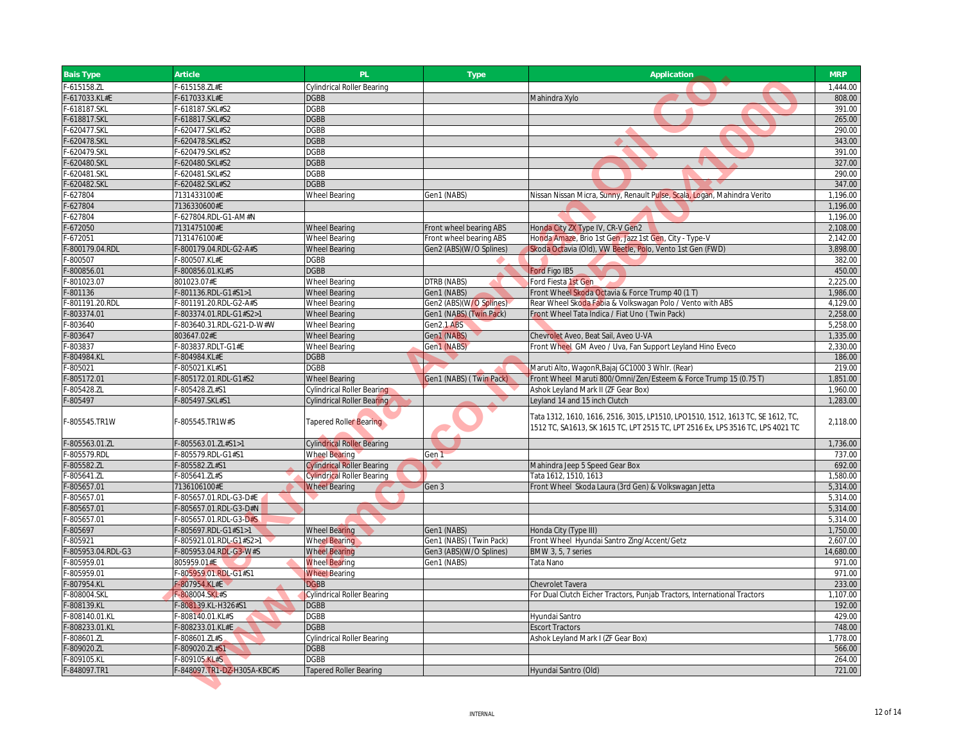| $-615158.$ ZL<br>$-615158. ZL#E$<br><b>Cylindrical Roller Bearing</b><br>-617033.KL#E<br>-617033.KL#E<br><b>DGBB</b><br>Mahindra Xylo<br>-618187.SKL<br>-618187.SKL#S2<br><b>DGBB</b><br>-618817.SKL<br>-618817.SKL#S2<br><b>DGBB</b><br><b>DGBB</b><br>-620477.SKL<br>-620477.SKL#S2<br>-620478.SKL<br><b>DGBB</b><br>-620478.SKL#S2 | 1,444.00<br>808.00<br>391.00<br>265.00<br>290.00<br>343.00<br>391.00<br>327.00<br>290.00 |
|---------------------------------------------------------------------------------------------------------------------------------------------------------------------------------------------------------------------------------------------------------------------------------------------------------------------------------------|------------------------------------------------------------------------------------------|
|                                                                                                                                                                                                                                                                                                                                       |                                                                                          |
|                                                                                                                                                                                                                                                                                                                                       |                                                                                          |
|                                                                                                                                                                                                                                                                                                                                       |                                                                                          |
|                                                                                                                                                                                                                                                                                                                                       |                                                                                          |
|                                                                                                                                                                                                                                                                                                                                       |                                                                                          |
|                                                                                                                                                                                                                                                                                                                                       |                                                                                          |
| -620479.SKL<br>-620479.SKL#S2<br><b>DGBB</b>                                                                                                                                                                                                                                                                                          |                                                                                          |
| <b>DGBB</b><br>-620480.SKL<br>-620480.SKL#S2                                                                                                                                                                                                                                                                                          |                                                                                          |
| -620481.SKL<br>-620481.SKL#S2<br><b>DGBB</b>                                                                                                                                                                                                                                                                                          |                                                                                          |
| -620482.SKL<br>-620482.SKL#S2<br><b>DGBB</b>                                                                                                                                                                                                                                                                                          | 347.00                                                                                   |
| $-627804$<br>7131433100#E<br><b>Wheel Bearing</b><br>Gen1 (NABS)<br>Nissan Nissan Micra, Sunny, Renault Pulse, Scala, Logan, Mahindra Verito                                                                                                                                                                                          | 1,196.00                                                                                 |
| $-627804$<br>7136330600#E                                                                                                                                                                                                                                                                                                             | 1,196.00                                                                                 |
| $-627804$<br>-627804.RDL-G1-AM#N                                                                                                                                                                                                                                                                                                      | 1,196.00                                                                                 |
| $-672050$<br>7131475100#E<br><b>Wheel Bearing</b><br>Front wheel bearing ABS<br>Honda City ZX Type IV, CR-V Gen2                                                                                                                                                                                                                      | 2,108.00                                                                                 |
| $-672051$<br>7131476100#E<br><b>Wheel Bearing</b><br>Front wheel bearing ABS<br>Honda Amaze, Brio 1st Gen, Jazz 1st Gen, City - Type-V                                                                                                                                                                                                | 2,142.00                                                                                 |
| -800179.04.RDL<br>Gen2 (ABS)(W/O Splines)<br>Skoda Octavia (Old), VW Beetle, Polo, Vento 1st Gen (FWD)<br>-800179.04.RDL-G2-A#S<br><b>Wheel Bearing</b>                                                                                                                                                                               | 3,898.00                                                                                 |
| $-800507$<br>-800507.KL#E<br><b>DGBB</b>                                                                                                                                                                                                                                                                                              | 382.00                                                                                   |
| <b>DGBB</b><br>$-800856.01$<br>$-800856.01$ .KL#S<br>Ford Figo IB5                                                                                                                                                                                                                                                                    | 450.00                                                                                   |
| $-801023.07$<br>801023.07#E<br><b>Wheel Bearing</b><br>DTRB (NABS)<br>Ford Fiesta 1st Gen                                                                                                                                                                                                                                             | 2,225.00                                                                                 |
| $-801136$<br>-801136.RDL-G1#S1>1<br><b>Wheel Bearing</b><br>Gen1 (NABS)<br>Front Wheel Skoda Octavia & Force Trump 40 (1 T)                                                                                                                                                                                                           | 1,986.00                                                                                 |
| -801191.20.RDL<br>F-801191.20.RDL-G2-A#S<br><b>Wheel Bearing</b><br>Gen2 (ABS)(W/O Splines)<br>Rear Wheel Skoda Fabia & Volkswagan Polo / Vento with ABS                                                                                                                                                                              | 4,129.00                                                                                 |
| $-803374.01$<br>Gen1 (NABS) (Twin Pack)<br>-803374.01.RDL-G1#S2>1<br><b>Wheel Bearing</b><br>Front Wheel Tata Indica / Fiat Uno (Twin Pack)                                                                                                                                                                                           | 2,258.00                                                                                 |
| $-803640$<br>-803640.31.RDL-G21-D-W#W<br><b>Wheel Bearing</b><br>Gen2.1 ABS                                                                                                                                                                                                                                                           | 5,258.00                                                                                 |
| Gen1 (NABS)<br>$-803647$<br>803647.02#E<br><b>Wheel Bearing</b><br>Chevrolet Aveo, Beat Sail, Aveo U-VA                                                                                                                                                                                                                               | 1,335.00                                                                                 |
| -803837.RDLT-G1#E<br>-803837<br><b>Wheel Bearing</b><br>Gen1 (NABS)<br>Front Wheel GM Aveo / Uva, Fan Support Leyland Hino Eveco                                                                                                                                                                                                      | 2,330.00                                                                                 |
| $-804984.KL$<br><b>DGBB</b><br>-804984.KL#E                                                                                                                                                                                                                                                                                           | 186.00                                                                                   |
| <b>DGBB</b><br>Maruti Alto, WagonR, Bajaj GC1000 3 Whlr. (Rear)<br>$-805021$<br>-805021.KL#S1                                                                                                                                                                                                                                         | 219.00                                                                                   |
| $-805172.01$<br>-805172.01.RDL-G1#S2<br>Gen1 (NABS) (Twin Pack)<br>Front Wheel Maruti 800/Omni/Zen/Esteem & Force Trump 15 (0.75 T)<br><b>Wheel Bearing</b>                                                                                                                                                                           | 1,851.00                                                                                 |
| $-805428.ZL$<br>-805428.ZL#S1<br>Cylindrical Roller Bearing<br>Ashok Leyland Mark II (ZF Gear Box)                                                                                                                                                                                                                                    | 1,960.00                                                                                 |
| $-805497$<br>-805497.SKL#S1<br>Cylindrical Roller Bea <mark>rin</mark> g<br>Leyland 14 and 15 inch Clutch                                                                                                                                                                                                                             | 1,283.00                                                                                 |
| Tata 1312, 1610, 1616, 2516, 3015, LP1510, LPO1510, 1512, 1613 TC, SE 1612, TC,<br>F-805545.TR1W<br>-805545.TR1W#S<br>Tapered Roller Bearing<br>1512 TC, SA1613, SK 1615 TC, LPT 2515 TC, LPT 2516 Ex, LPS 3516 TC, LPS 4021 TC                                                                                                       | 2,118.00                                                                                 |
| $-805563.01.ZL$<br>-805563.01.ZL#S1>1<br><b>Cylindrical Roller Bearing</b>                                                                                                                                                                                                                                                            | 1,736.00                                                                                 |
| -805579.RDL<br>-805579.RDL-G1#S1<br><b>Wheel Bearing</b><br>Gen 1                                                                                                                                                                                                                                                                     | 737.00                                                                                   |
| $-805582.7L$<br>$-805582.$ ZL#S1<br><b>Cylindrical Roller Bearing</b><br>Mahindra Jeep 5 Speed Gear Box                                                                                                                                                                                                                               | 692.00                                                                                   |
| Tata 1612, 1510, 1613<br>$-805641. ZL$<br>$-805641.$ ZL#S<br><b>Cylindrical Roller Bearing</b>                                                                                                                                                                                                                                        | 1,580.00                                                                                 |
| $-805657.01$<br>7136106100#E<br>Front Wheel Skoda Laura (3rd Gen) & Volkswagan Jetta<br><b>Wheel Bearing</b><br>Gen 3                                                                                                                                                                                                                 | 5,314.00                                                                                 |
| $-805657.01$<br>-805657.01.RDL-G3-D#E                                                                                                                                                                                                                                                                                                 | 5,314.00                                                                                 |
| $-805657.01$<br>-805657.01.RDL-G3-D#N                                                                                                                                                                                                                                                                                                 | 5,314.00                                                                                 |
| -805657.01<br>-805657.01.RDL-G3-D#S                                                                                                                                                                                                                                                                                                   | 5,314.00                                                                                 |
| $-805697$<br>-805697.RDL-G1#S1>1<br><b>Wheel Bearing</b><br>Gen1 (NABS)<br>Honda City (Type III)                                                                                                                                                                                                                                      | 1,750.00                                                                                 |
| $-805921$<br><b>Wheel Bearing</b><br>Gen1 (NABS) (Twin Pack)<br>Front Wheel Hyundai Santro Zing/Accent/Getz<br>-805921.01.RDL-G1#S2>1                                                                                                                                                                                                 | 2,607.00                                                                                 |
| -805953.04.RDL-G3<br>-805953.04.RDL-G3-W#S<br><b>Wheel Bearing</b><br>Gen3 (ABS)(W/O Splines)<br>BMW 3, 5, 7 series                                                                                                                                                                                                                   | 14,680.00                                                                                |
| $-805959.01$<br>805959.01#E<br><b>Wheel Bearing</b><br>Gen1 (NABS)<br>Tata Nano                                                                                                                                                                                                                                                       | 971.00                                                                                   |
| $-805959.01$<br><b>Wheel Bearing</b><br>F-805959.01.RDL-G1#S1                                                                                                                                                                                                                                                                         | 971.00                                                                                   |
| -807954.KL<br><b>DGBB</b><br>$-807954.$ KL#E<br>Chevrolet Tavera                                                                                                                                                                                                                                                                      | 233.00                                                                                   |
| -808004.SKL<br>-808004.SKL#S<br><b>Cylindrical Roller Bearing</b><br>For Dual Clutch Eicher Tractors, Punjab Tractors, International Tractors                                                                                                                                                                                         | 1,107.00                                                                                 |
| <b>DGBB</b><br>-808139.KL<br>-808139.KL-H326#S1                                                                                                                                                                                                                                                                                       | 192.00                                                                                   |
| -808140.01.KL<br><b>DGBB</b><br>-808140.01.KL#S<br>Hyundai Santro                                                                                                                                                                                                                                                                     | 429.00                                                                                   |
| <b>DGBB</b><br>-808233.01.KL<br>-808233.01.KL#E<br><b>Escort Tractors</b>                                                                                                                                                                                                                                                             | 748.00                                                                                   |
| Ashok Leyland Mark I (ZF Gear Box)<br>-808601.ZL<br>$-808601.$ ZL#S<br><b>Cylindrical Roller Bearing</b>                                                                                                                                                                                                                              | 1,778.00                                                                                 |
| $-809020.$ ZL<br>$-809020.$ ZL#S1<br><b>DGBB</b>                                                                                                                                                                                                                                                                                      | 566.00                                                                                   |
| -809105.KL<br>$-809105.$ KL#S<br><b>DGBB</b>                                                                                                                                                                                                                                                                                          | 264.00                                                                                   |
| F-848097.TR1<br>F-848097.TR1-DZ-H305A-KBC#S<br>Hyundai Santro (Old)<br><b>Tapered Roller Bearing</b>                                                                                                                                                                                                                                  | 721.00                                                                                   |
|                                                                                                                                                                                                                                                                                                                                       |                                                                                          |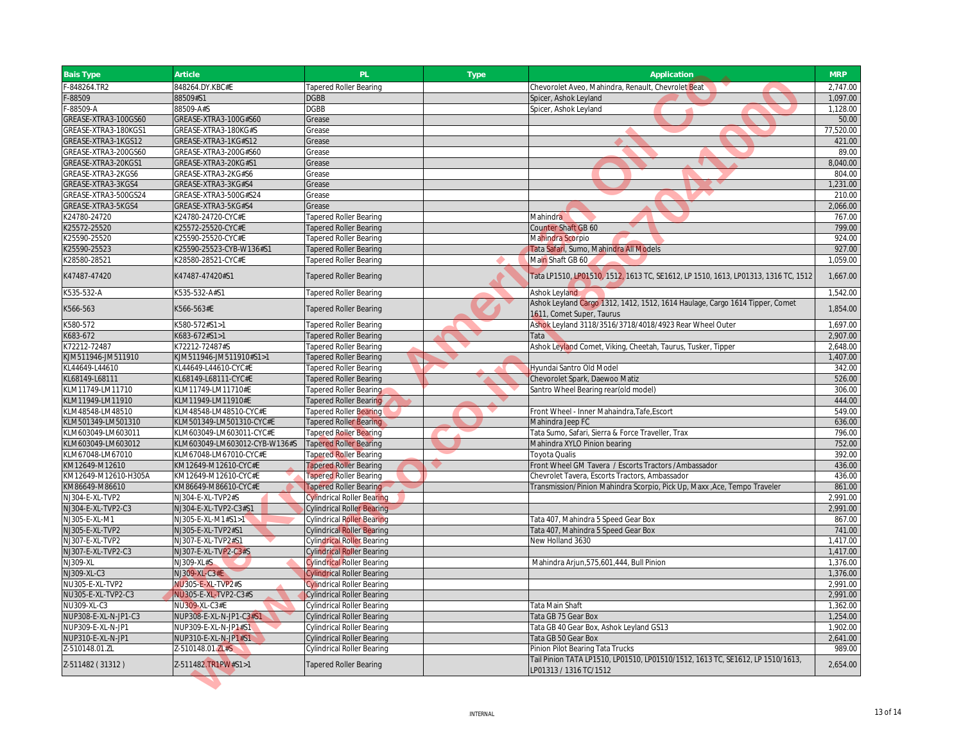| $-848264$ .TR2<br>848264.DY.KBC#E<br>Chevorolet Aveo, Mahindra, Renault, Chevrolet Beat<br><b>Tapered Roller Bearing</b><br>$-88509$<br>88509#S1<br><b>DGBB</b><br>Spicer, Ashok Leyland<br>88509-A#S<br><b>DGBB</b><br>$-88509 - A$<br>Spicer, Ashok Leyland<br>GREASE-XTRA3-100GS60<br>GREASE-XTRA3-100G#S60<br>Grease<br>GREASE-XTRA3-180KGS1<br>GREASE-XTRA3-180KG#S<br>Grease<br>GREASE-XTRA3-1KGS12<br>GREASE-XTRA3-1KG#S12<br>Grease<br>GREASE-XTRA3-200GS60<br>GREASE-XTRA3-200G#S60<br>Grease<br>GREASE-XTRA3-20KGS1<br>GREASE-XTRA3-20KG#S1<br>Grease<br>GREASE-XTRA3-2KGS6<br>GREASE-XTRA3-2KG#S6<br>Grease<br>GREASE-XTRA3-3KGS4<br>GREASE-XTRA3-3KG#S4<br>Grease<br>GREASE-XTRA3-500GS24<br>GREASE-XTRA3-500G#S24<br>Grease<br>GREASE-XTRA3-5KGS4<br>GREASE-XTRA3-5KG#S4<br>Grease | 2,747.00<br>1,097.00<br>1,128.00<br>50.00<br>77,520.00<br>421.00<br>89.00 |
|-------------------------------------------------------------------------------------------------------------------------------------------------------------------------------------------------------------------------------------------------------------------------------------------------------------------------------------------------------------------------------------------------------------------------------------------------------------------------------------------------------------------------------------------------------------------------------------------------------------------------------------------------------------------------------------------------------------------------------------------------------------------------------------------------|---------------------------------------------------------------------------|
|                                                                                                                                                                                                                                                                                                                                                                                                                                                                                                                                                                                                                                                                                                                                                                                                 |                                                                           |
|                                                                                                                                                                                                                                                                                                                                                                                                                                                                                                                                                                                                                                                                                                                                                                                                 |                                                                           |
|                                                                                                                                                                                                                                                                                                                                                                                                                                                                                                                                                                                                                                                                                                                                                                                                 |                                                                           |
|                                                                                                                                                                                                                                                                                                                                                                                                                                                                                                                                                                                                                                                                                                                                                                                                 |                                                                           |
|                                                                                                                                                                                                                                                                                                                                                                                                                                                                                                                                                                                                                                                                                                                                                                                                 |                                                                           |
|                                                                                                                                                                                                                                                                                                                                                                                                                                                                                                                                                                                                                                                                                                                                                                                                 |                                                                           |
|                                                                                                                                                                                                                                                                                                                                                                                                                                                                                                                                                                                                                                                                                                                                                                                                 |                                                                           |
|                                                                                                                                                                                                                                                                                                                                                                                                                                                                                                                                                                                                                                                                                                                                                                                                 | 8,040.00                                                                  |
|                                                                                                                                                                                                                                                                                                                                                                                                                                                                                                                                                                                                                                                                                                                                                                                                 | 804.00                                                                    |
|                                                                                                                                                                                                                                                                                                                                                                                                                                                                                                                                                                                                                                                                                                                                                                                                 | 1,231.00                                                                  |
|                                                                                                                                                                                                                                                                                                                                                                                                                                                                                                                                                                                                                                                                                                                                                                                                 | 210.00                                                                    |
|                                                                                                                                                                                                                                                                                                                                                                                                                                                                                                                                                                                                                                                                                                                                                                                                 | 2,066.00                                                                  |
| K24780-24720<br>K24780-24720-CYC#E<br><b>Tapered Roller Bearing</b><br>Mahindra                                                                                                                                                                                                                                                                                                                                                                                                                                                                                                                                                                                                                                                                                                                 | 767.00                                                                    |
| K25572-25520<br>K25572-25520-CYC#E<br><b>Tapered Roller Bearing</b><br>Counter Shaft GB 60                                                                                                                                                                                                                                                                                                                                                                                                                                                                                                                                                                                                                                                                                                      | 799.00                                                                    |
| (25590-25520<br>K25590-25520-CYC#E<br>Tapered Roller Bearing<br>Mahindra Scorpio                                                                                                                                                                                                                                                                                                                                                                                                                                                                                                                                                                                                                                                                                                                | 924.00                                                                    |
| K25590-25523<br><25590-25523-CYB-W136#S1<br><b>Tapered Roller Bearing</b><br>Tata Safari, Sumo, Mahindra All Models                                                                                                                                                                                                                                                                                                                                                                                                                                                                                                                                                                                                                                                                             | 927.00                                                                    |
| K28580-28521<br>K28580-28521-CYC#E<br><b>Tapered Roller Bearing</b><br>Main Shaft GB 60                                                                                                                                                                                                                                                                                                                                                                                                                                                                                                                                                                                                                                                                                                         | 1.059.00                                                                  |
| K47487-47420<br>K47487-47420#S1<br>Tata LP1510, LP01510, 1512, 1613 TC, SE1612, LP 1510, 1613, LP01313, 1316 TC, 1512<br><b>Tapered Roller Bearing</b>                                                                                                                                                                                                                                                                                                                                                                                                                                                                                                                                                                                                                                          | 1,667.00                                                                  |
| K535-532-A<br>K535-532-A#S1<br><b>Tapered Roller Bearing</b><br>Ashok Leyland                                                                                                                                                                                                                                                                                                                                                                                                                                                                                                                                                                                                                                                                                                                   | 1,542.00                                                                  |
| Ashok Leyland Cargo 1312, 1412, 1512, 1614 Haulage, Cargo 1614 Tipper, Comet                                                                                                                                                                                                                                                                                                                                                                                                                                                                                                                                                                                                                                                                                                                    |                                                                           |
| K566-563#E<br>K566-563<br><b>Tapered Roller Bearing</b><br>1611, Comet Super, Taurus                                                                                                                                                                                                                                                                                                                                                                                                                                                                                                                                                                                                                                                                                                            | 1,854.00                                                                  |
| Ashok Leyland 3118/3516/3718/4018/4923 Rear Wheel Outer<br>(580-572<br><580-572#S1>1<br><b>Tapered Roller Bearing</b>                                                                                                                                                                                                                                                                                                                                                                                                                                                                                                                                                                                                                                                                           | 1,697.00                                                                  |
| K683-672<br>K683-672#S1>1<br><b>Tapered Roller Bearing</b><br>Tata                                                                                                                                                                                                                                                                                                                                                                                                                                                                                                                                                                                                                                                                                                                              | 2,907.00                                                                  |
| K72212-72487<br>K72212-72487#S<br><b>Tapered Roller Bearing</b><br>Ashok Leyland Comet, Viking, Cheetah, Taurus, Tusker, Tipper                                                                                                                                                                                                                                                                                                                                                                                                                                                                                                                                                                                                                                                                 | 2,648.00                                                                  |
| KJM511946-JM511910<br>KJM511946-JM511910#S1>1<br><b>Tapered Roller Bearing</b>                                                                                                                                                                                                                                                                                                                                                                                                                                                                                                                                                                                                                                                                                                                  | 1,407.00                                                                  |
| KL44649-L44610<br>KL44649-L44610-CYC#E<br><b>Tapered Roller Bearing</b><br>Hyundai Santro Old Model                                                                                                                                                                                                                                                                                                                                                                                                                                                                                                                                                                                                                                                                                             | 342.00                                                                    |
| KL68149-L68111<br>KL68149-L68111-CYC#E<br><b>Tapered Roller Bearing</b><br>Chevorolet Spark, Daewoo Matiz                                                                                                                                                                                                                                                                                                                                                                                                                                                                                                                                                                                                                                                                                       | 526.00                                                                    |
| KLM11749-LM11710<br>KLM11749-LM11710#E<br>Santro Wheel Bearing rear(old model)<br>Tapered Roller Bearing                                                                                                                                                                                                                                                                                                                                                                                                                                                                                                                                                                                                                                                                                        | 306.00                                                                    |
| KLM11949-LM11910<br>KLM11949-LM11910#E<br>Tapered Roller Bearing                                                                                                                                                                                                                                                                                                                                                                                                                                                                                                                                                                                                                                                                                                                                | 444.00                                                                    |
| KLM48548-LM48510<br>KLM48548-LM48510-CYC#E<br>Front Wheel - Inner Mahaindra, Tafe, Escort<br>Tapered Roller Bearing                                                                                                                                                                                                                                                                                                                                                                                                                                                                                                                                                                                                                                                                             | 549.00                                                                    |
| KLM501349-LM501310<br>KLM501349-LM501310-CYC#E<br>Mahindra Jeep FC<br><b>Tapered Roller Bearing</b>                                                                                                                                                                                                                                                                                                                                                                                                                                                                                                                                                                                                                                                                                             | 636.00                                                                    |
| KLM603049-LM603011<br>KLM603049-LM603011-CYC#E<br>Tata Sumo, Safari, Sierra & Force Traveller, Trax<br><b>Tapered Roller Bearing</b>                                                                                                                                                                                                                                                                                                                                                                                                                                                                                                                                                                                                                                                            | 796.00                                                                    |
| KLM603049-LM603012<br>KLM603049-LM603012-CYB-W136#S<br><b>Tapered Roller Bearing</b><br>Mahindra XYLO Pinion bearing                                                                                                                                                                                                                                                                                                                                                                                                                                                                                                                                                                                                                                                                            | 752.00                                                                    |
| KLM67048-LM67010<br>KLM67048-LM67010-CYC#E<br><b>Toyota Qualis</b><br><b>Tapered Roller Bearing</b>                                                                                                                                                                                                                                                                                                                                                                                                                                                                                                                                                                                                                                                                                             | 392.00                                                                    |
| KM12649-M12610-CYC#E<br>Front Wheel GM Tavera / Escorts Tractors / Ambassador<br>KM12649-M12610<br><b>Tapered Roller Bearing</b>                                                                                                                                                                                                                                                                                                                                                                                                                                                                                                                                                                                                                                                                | 436.00                                                                    |
| KM12649-M12610-H305A<br>KM12649-M12610-CYC#E<br><b>Tapered Roller Bearing</b><br>Chevrolet Tavera, Escorts Tractors, Ambassador                                                                                                                                                                                                                                                                                                                                                                                                                                                                                                                                                                                                                                                                 | 436.00                                                                    |
| KM86649-M86610<br>KM86649-M86610-CYC#E<br><b>Tapered Roller Bearing</b><br>Transmission/Pinion Mahindra Scorpio, Pick Up, Maxx, Ace, Tempo Traveler                                                                                                                                                                                                                                                                                                                                                                                                                                                                                                                                                                                                                                             | 861.00                                                                    |
| NJ304-E-XL-TVP2<br>NJ304-E-XL-TVP2#S<br><b>Cylindrical Roller Bearing</b>                                                                                                                                                                                                                                                                                                                                                                                                                                                                                                                                                                                                                                                                                                                       | 2,991.00                                                                  |
| NJ304-E-XL-TVP2-C3<br>NJ304-E-XL-TVP2-C3#S1<br><b>Cylindrical Roller Bearing</b>                                                                                                                                                                                                                                                                                                                                                                                                                                                                                                                                                                                                                                                                                                                | 2,991.00                                                                  |
| NJ305-E-XL-M1<br>NJ305-E-XL-M1#S1>1<br><b>Cylindrical Roller Bearing</b><br>Tata 407, Mahindra 5 Speed Gear Box                                                                                                                                                                                                                                                                                                                                                                                                                                                                                                                                                                                                                                                                                 | 867.00                                                                    |
| NJ305-E-XL-TVP2<br>NJ305-E-XL-TVP2#S1<br>Tata 407, Mahindra 5 Speed Gear Box<br><b>Cylindrical Roller Bearing</b>                                                                                                                                                                                                                                                                                                                                                                                                                                                                                                                                                                                                                                                                               | 741.00                                                                    |
| New Holland 3630<br>NJ307-E-XL-TVP2<br>NJ307-E-XL-TVP2#S1<br><b>Cylindrical Roller Bearing</b>                                                                                                                                                                                                                                                                                                                                                                                                                                                                                                                                                                                                                                                                                                  | 1,417.00                                                                  |
| NJ307-E-XL-TVP2-C3<br>NJ307-E-XL-TVP2-C3#S<br><b>Cylindrical Roller Bearing</b>                                                                                                                                                                                                                                                                                                                                                                                                                                                                                                                                                                                                                                                                                                                 | 1,417.00                                                                  |
| NJ309-XL<br>NJ309-XL#S<br><b>Cylindrical Roller Bearing</b><br>Mahindra Arjun, 575, 601, 444, Bull Pinion                                                                                                                                                                                                                                                                                                                                                                                                                                                                                                                                                                                                                                                                                       | 1,376.00                                                                  |
| NJ309-XL-C3<br>NJ309-XL-C3#E<br><b>Cylindrical Roller Bearing</b>                                                                                                                                                                                                                                                                                                                                                                                                                                                                                                                                                                                                                                                                                                                               | 1,376.00                                                                  |
| NU305-E-XL-TVP2<br>NU305-E-XL-TVP2#S<br><b>Cylindrical Roller Bearing</b>                                                                                                                                                                                                                                                                                                                                                                                                                                                                                                                                                                                                                                                                                                                       | 2,991.00                                                                  |
| NU305-E-XL-TVP2-C3<br>NU305-E-XL-TVP2-C3#S<br><b>Cylindrical Roller Bearing</b>                                                                                                                                                                                                                                                                                                                                                                                                                                                                                                                                                                                                                                                                                                                 | 2,991.00                                                                  |
| NU309-XL-C3<br><b>NU309-XL-C3#E</b><br>Tata Main Shaft<br><b>Cylindrical Roller Bearing</b>                                                                                                                                                                                                                                                                                                                                                                                                                                                                                                                                                                                                                                                                                                     | 1,362.00                                                                  |
| NUP308-E-XL-N-JP1-C3<br>NUP308-E-XL-N-JP1-C3#S1<br>Tata GB 75 Gear Box<br><b>Cylindrical Roller Bearing</b>                                                                                                                                                                                                                                                                                                                                                                                                                                                                                                                                                                                                                                                                                     | 1,254.00                                                                  |
| NUP309-E-XL-N-JP1<br>NUP309-E-XL-N-JP1#S1<br>Tata GB 40 Gear Box, Ashok Leyland GS13<br><b>Cylindrical Roller Bearing</b>                                                                                                                                                                                                                                                                                                                                                                                                                                                                                                                                                                                                                                                                       | 1.902.00                                                                  |
| NUP310-E-XL-N-JP1<br>NUP310-E-XL-N-JP1#S1<br><b>Cylindrical Roller Bearing</b><br>Tata GB 50 Gear Box                                                                                                                                                                                                                                                                                                                                                                                                                                                                                                                                                                                                                                                                                           | 2,641.00                                                                  |
| Z-510148.01.ZL<br>Z-510148.01.ZL#S<br>Pinion Pilot Bearing Tata Trucks<br><b>Cylindrical Roller Bearing</b>                                                                                                                                                                                                                                                                                                                                                                                                                                                                                                                                                                                                                                                                                     | 989.00                                                                    |
| Tail Pinion TATA LP1510, LP01510, LP01510/1512, 1613 TC, SE1612, LP 1510/1613,<br>Z-511482 (31312)<br>Z-511482.TR1PW#S1>1<br><b>Tapered Roller Bearing</b><br>LP01313 / 1316 TC/1512                                                                                                                                                                                                                                                                                                                                                                                                                                                                                                                                                                                                            | 2,654.00                                                                  |